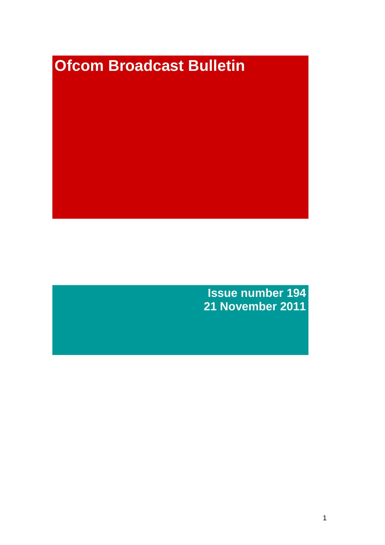# **Ofcom Broadcast Bulletin**

**Issue number 194 21 November 2011**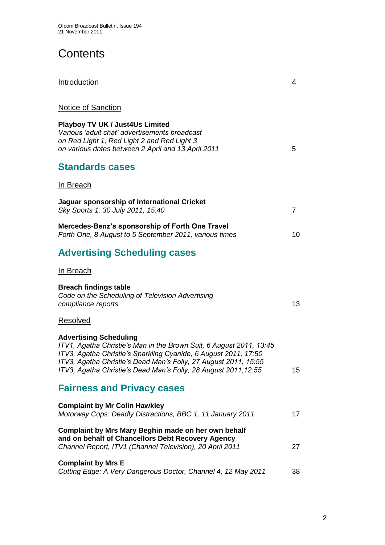# **Contents**

| Introduction                                                                                                                                                                                                                                                                                                 | 4              |
|--------------------------------------------------------------------------------------------------------------------------------------------------------------------------------------------------------------------------------------------------------------------------------------------------------------|----------------|
| <b>Notice of Sanction</b>                                                                                                                                                                                                                                                                                    |                |
| Playboy TV UK / Just4Us Limited<br>Various 'adult chat' advertisements broadcast<br>on Red Light 1, Red Light 2 and Red Light 3<br>on various dates between 2 April and 13 April 2011                                                                                                                        | 5              |
| <b>Standards cases</b>                                                                                                                                                                                                                                                                                       |                |
| <u>In Breach</u>                                                                                                                                                                                                                                                                                             |                |
| Jaguar sponsorship of International Cricket<br>Sky Sports 1, 30 July 2011, 15:40                                                                                                                                                                                                                             | $\overline{7}$ |
| Mercedes-Benz's sponsorship of Forth One Travel<br>Forth One, 8 August to 5 September 2011, various times                                                                                                                                                                                                    | 10             |
| <b>Advertising Scheduling cases</b>                                                                                                                                                                                                                                                                          |                |
| <u>In Breach</u>                                                                                                                                                                                                                                                                                             |                |
| <b>Breach findings table</b><br>Code on the Scheduling of Television Advertising<br>compliance reports                                                                                                                                                                                                       | 13             |
| <u>Resolved</u>                                                                                                                                                                                                                                                                                              |                |
| <b>Advertising Scheduling</b><br>ITV1, Agatha Christie's Man in the Brown Suit, 6 August 2011, 13:45<br>ITV3, Agatha Christie's Sparkling Cyanide, 6 August 2011, 17:50<br>ITV3, Agatha Christie's Dead Man's Folly, 27 August 2011, 15:55<br>ITV3, Agatha Christie's Dead Man's Folly, 28 August 2011,12:55 | 15             |
| <b>Fairness and Privacy cases</b>                                                                                                                                                                                                                                                                            |                |
| <b>Complaint by Mr Colin Hawkley</b><br>Motorway Cops: Deadly Distractions, BBC 1, 11 January 2011                                                                                                                                                                                                           | 17             |
| Complaint by Mrs Mary Beghin made on her own behalf<br>and on behalf of Chancellors Debt Recovery Agency<br>Channel Report, ITV1 (Channel Television), 20 April 2011                                                                                                                                         | 27             |
| <b>Complaint by Mrs E</b>                                                                                                                                                                                                                                                                                    |                |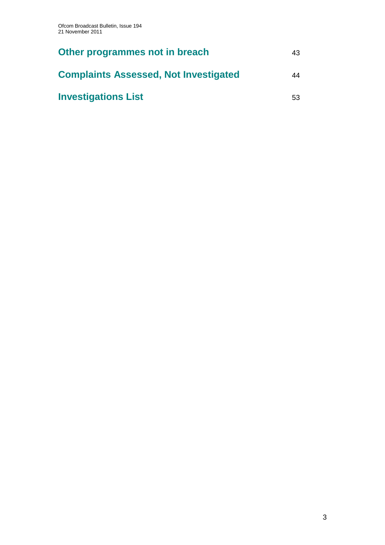| Other programmes not in breach               | 43 |
|----------------------------------------------|----|
| <b>Complaints Assessed, Not Investigated</b> | 44 |
| <b>Investigations List</b>                   | 53 |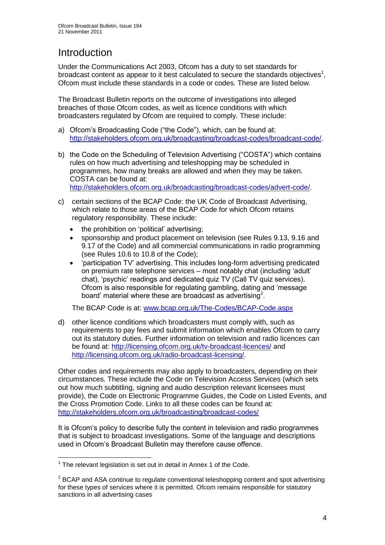# Introduction

Under the Communications Act 2003, Ofcom has a duty to set standards for broadcast content as appear to it best calculated to secure the standards objectives<sup>1</sup>, Ofcom must include these standards in a code or codes. These are listed below.

The Broadcast Bulletin reports on the outcome of investigations into alleged breaches of those Ofcom codes, as well as licence conditions with which broadcasters regulated by Ofcom are required to comply. These include:

- a) Ofcom"s Broadcasting Code ("the Code"), which, can be found at: [http://stakeholders.ofcom.org.uk/broadcasting/broadcast-codes/broadcast-code/.](http://stakeholders.ofcom.org.uk/broadcasting/broadcast-codes/broadcast-code/)
- b) the Code on the Scheduling of Television Advertising ("COSTA") which contains rules on how much advertising and teleshopping may be scheduled in programmes, how many breaks are allowed and when they may be taken. COSTA can be found at: [http://stakeholders.ofcom.org.uk/broadcasting/broadcast-codes/advert-code/.](http://stakeholders.ofcom.org.uk/broadcasting/broadcast-codes/advert-code/)

c) certain sections of the BCAP Code: the UK Code of Broadcast Advertising, which relate to those areas of the BCAP Code for which Ofcom retains regulatory responsibility. These include:

- the prohibition on "political" advertising;
- sponsorship and product placement on television (see Rules 9.13, 9.16 and 9.17 of the Code) and all commercial communications in radio programming (see Rules 10.6 to 10.8 of the Code);
- "participation TV" advertising. This includes long-form advertising predicated on premium rate telephone services – most notably chat (including "adult" chat), "psychic" readings and dedicated quiz TV (Call TV quiz services). Ofcom is also responsible for regulating gambling, dating and "message board' material where these are broadcast as advertising<sup>2</sup>.

The BCAP Code is at: [www.bcap.org.uk/The-Codes/BCAP-Code.aspx](http://www.bcap.org.uk/The-Codes/BCAP-Code.aspx)

d) other licence conditions which broadcasters must comply with, such as requirements to pay fees and submit information which enables Ofcom to carry out its statutory duties. Further information on television and radio licences can be found at:<http://licensing.ofcom.org.uk/tv-broadcast-licences/> and [http://licensing.ofcom.org.uk/radio-broadcast-licensing/.](http://licensing.ofcom.org.uk/radio-broadcast-licensing/)

Other codes and requirements may also apply to broadcasters, depending on their circumstances. These include the Code on Television Access Services (which sets out how much subtitling, signing and audio description relevant licensees must provide), the Code on Electronic Programme Guides, the Code on Listed Events, and the Cross Promotion Code. Links to all these codes can be found at: <http://stakeholders.ofcom.org.uk/broadcasting/broadcast-codes/>

It is Ofcom"s policy to describe fully the content in television and radio programmes that is subject to broadcast investigations. Some of the language and descriptions used in Ofcom"s Broadcast Bulletin may therefore cause offence.

<sup>1</sup>  $1$  The relevant legislation is set out in detail in Annex 1 of the Code.

 $2$  BCAP and ASA continue to regulate conventional teleshopping content and spot advertising for these types of services where it is permitted. Ofcom remains responsible for statutory sanctions in all advertising cases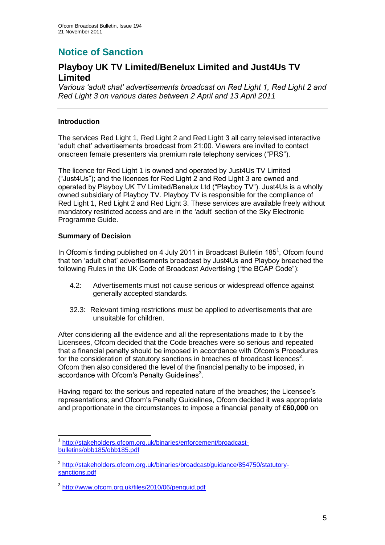# **Notice of Sanction**

## **Playboy UK TV Limited/Benelux Limited and Just4Us TV Limited**

*Various "adult chat" advertisements broadcast on Red Light 1, Red Light 2 and Red Light 3 on various dates between 2 April and 13 April 2011* 

#### **Introduction**

The services Red Light 1, Red Light 2 and Red Light 3 all carry televised interactive "adult chat" advertisements broadcast from 21:00. Viewers are invited to contact onscreen female presenters via premium rate telephony services ("PRS").

The licence for Red Light 1 is owned and operated by Just4Us TV Limited ("Just4Us"); and the licences for Red Light 2 and Red Light 3 are owned and operated by Playboy UK TV Limited/Benelux Ltd ("Playboy TV"). Just4Us is a wholly owned subsidiary of Playboy TV. Playboy TV is responsible for the compliance of Red Light 1, Red Light 2 and Red Light 3. These services are available freely without mandatory restricted access and are in the 'adult' section of the Sky Electronic Programme Guide.

#### **Summary of Decision**

In Ofcom's finding published on 4 July 2011 in Broadcast Bulletin 185<sup>1</sup>, Ofcom found that ten "adult chat" advertisements broadcast by Just4Us and Playboy breached the following Rules in the UK Code of Broadcast Advertising ("the BCAP Code"):

- 4.2: Advertisements must not cause serious or widespread offence against generally accepted standards.
- 32.3: Relevant timing restrictions must be applied to advertisements that are unsuitable for children.

After considering all the evidence and all the representations made to it by the Licensees, Ofcom decided that the Code breaches were so serious and repeated that a financial penalty should be imposed in accordance with Ofcom"s Procedures for the consideration of statutory sanctions in breaches of broadcast licences<sup>2</sup>. Ofcom then also considered the level of the financial penalty to be imposed, in accordance with Ofcom's Penalty Guidelines $3$ .

Having regard to: the serious and repeated nature of the breaches; the Licensee's representations; and Ofcom"s Penalty Guidelines, Ofcom decided it was appropriate and proportionate in the circumstances to impose a financial penalty of **£60,000** on

<sup>1</sup> 1 [http://stakeholders.ofcom.org.uk/binaries/enforcement/broadcast](http://stakeholders.ofcom.org.uk/binaries/enforcement/broadcast-bulletins/obb185/obb185.pdf)[bulletins/obb185/obb185.pdf](http://stakeholders.ofcom.org.uk/binaries/enforcement/broadcast-bulletins/obb185/obb185.pdf)

<sup>&</sup>lt;sup>2</sup> [http://stakeholders.ofcom.org.uk/binaries/broadcast/guidance/854750/statutory](http://stakeholders.ofcom.org.uk/binaries/broadcast/guidance/854750/statutory-sanctions.pdf)[sanctions.pdf](http://stakeholders.ofcom.org.uk/binaries/broadcast/guidance/854750/statutory-sanctions.pdf)

<sup>3</sup> <http://www.ofcom.org.uk/files/2010/06/penguid.pdf>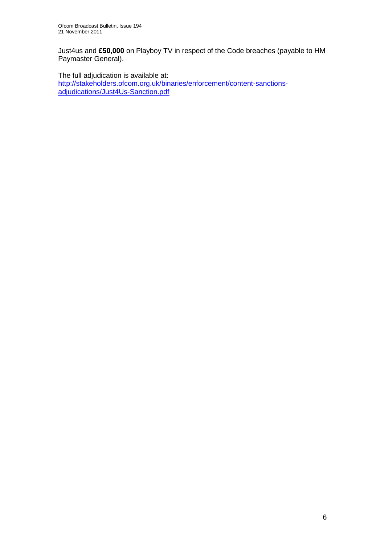Just4us and **£50,000** on Playboy TV in respect of the Code breaches (payable to HM Paymaster General).

The full adjudication is available at:

[http://stakeholders.ofcom.org.uk/binaries/enforcement/content-sanctions](http://stakeholders.ofcom.org.uk/binaries/enforcement/content-sanctions-adjudications/Just4Us-Sanction.pdf)[adjudications/Just4Us-Sanction.pdf](http://stakeholders.ofcom.org.uk/binaries/enforcement/content-sanctions-adjudications/Just4Us-Sanction.pdf)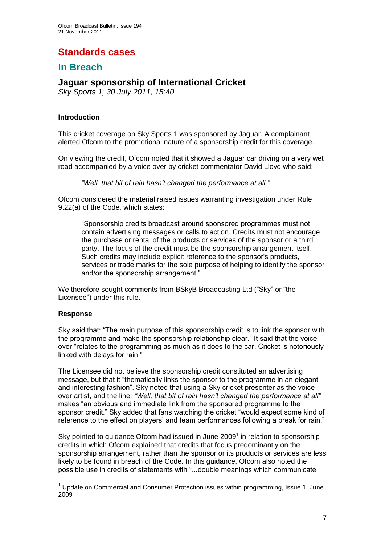# **Standards cases**

## **In Breach**

## **Jaguar sponsorship of International Cricket**

*Sky Sports 1, 30 July 2011, 15:40*

#### **Introduction**

This cricket coverage on Sky Sports 1 was sponsored by Jaguar. A complainant alerted Ofcom to the promotional nature of a sponsorship credit for this coverage.

On viewing the credit, Ofcom noted that it showed a Jaguar car driving on a very wet road accompanied by a voice over by cricket commentator David Lloyd who said:

*"Well, that bit of rain hasn"t changed the performance at all."* 

Ofcom considered the material raised issues warranting investigation under Rule 9.22(a) of the Code, which states:

"Sponsorship credits broadcast around sponsored programmes must not contain advertising messages or calls to action. Credits must not encourage the purchase or rental of the products or services of the sponsor or a third party. The focus of the credit must be the sponsorship arrangement itself. Such credits may include explicit reference to the sponsor's products, services or trade marks for the sole purpose of helping to identify the sponsor and/or the sponsorship arrangement."

We therefore sought comments from BSkyB Broadcasting Ltd ("Sky" or "the Licensee") under this rule.

#### **Response**

1

Sky said that: "The main purpose of this sponsorship credit is to link the sponsor with the programme and make the sponsorship relationship clear." It said that the voiceover "relates to the programming as much as it does to the car. Cricket is notoriously linked with delays for rain."

The Licensee did not believe the sponsorship credit constituted an advertising message, but that it "thematically links the sponsor to the programme in an elegant and interesting fashion". Sky noted that using a Sky cricket presenter as the voiceover artist, and the line: *"Well, that bit of rain hasn"t changed the performance at all"*  makes "an obvious and immediate link from the sponsored programme to the sponsor credit." Sky added that fans watching the cricket "would expect some kind of reference to the effect on players' and team performances following a break for rain."

Sky pointed to guidance Ofcom had issued in June  $2009<sup>1</sup>$  in relation to sponsorship credits in which Ofcom explained that credits that focus predominantly on the sponsorship arrangement, rather than the sponsor or its products or services are less likely to be found in breach of the Code. In this guidance, Ofcom also noted the possible use in credits of statements with "...double meanings which communicate

 $<sup>1</sup>$  Update on Commercial and Consumer Protection issues within programming, Issue 1, June</sup> 2009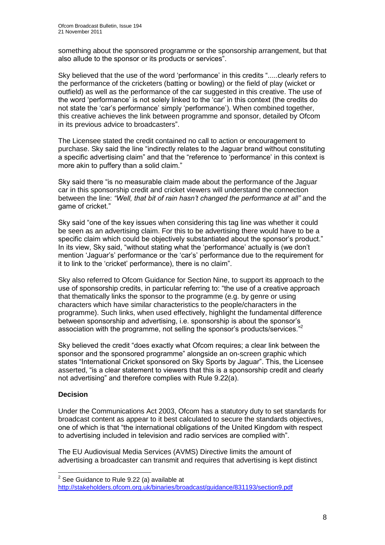something about the sponsored programme or the sponsorship arrangement, but that also allude to the sponsor or its products or services".

Sky believed that the use of the word "performance" in this credits ".....clearly refers to the performance of the cricketers (batting or bowling) or the field of play (wicket or outfield) as well as the performance of the car suggested in this creative. The use of the word "performance" is not solely linked to the "car" in this context (the credits do not state the 'car's performance' simply 'performance'). When combined together, this creative achieves the link between programme and sponsor, detailed by Ofcom in its previous advice to broadcasters".

The Licensee stated the credit contained no call to action or encouragement to purchase. Sky said the line "indirectly relates to the Jaguar brand without constituting a specific advertising claim" and that the "reference to "performance" in this context is more akin to puffery than a solid claim."

Sky said there "is no measurable claim made about the performance of the Jaguar car in this sponsorship credit and cricket viewers will understand the connection between the line: *"Well, that bit of rain hasn"t changed the performance at all"* and the game of cricket."

Sky said "one of the key issues when considering this tag line was whether it could be seen as an advertising claim. For this to be advertising there would have to be a specific claim which could be objectively substantiated about the sponsor's product." In its view, Sky said, "without stating what the "performance" actually is (we don"t mention "Jaguar"s" performance or the "car"s" performance due to the requirement for it to link to the "cricket" performance), there is no claim".

Sky also referred to Ofcom Guidance for Section Nine, to support its approach to the use of sponsorship credits, in particular referring to: "the use of a creative approach that thematically links the sponsor to the programme (e.g. by genre or using characters which have similar characteristics to the people/characters in the programme). Such links, when used effectively, highlight the fundamental difference between sponsorship and advertising, i.e. sponsorship is about the sponsor"s association with the programme, not selling the sponsor's products/services."<sup>2</sup>

Sky believed the credit "does exactly what Ofcom requires; a clear link between the sponsor and the sponsored programme" alongside an on-screen graphic which states "International Cricket sponsored on Sky Sports by Jaguar". This, the Licensee asserted, "is a clear statement to viewers that this is a sponsorship credit and clearly not advertising" and therefore complies with Rule 9.22(a).

#### **Decision**

1

Under the Communications Act 2003, Ofcom has a statutory duty to set standards for broadcast content as appear to it best calculated to secure the standards objectives, one of which is that "the international obligations of the United Kingdom with respect to advertising included in television and radio services are complied with".

The EU Audiovisual Media Services (AVMS) Directive limits the amount of advertising a broadcaster can transmit and requires that advertising is kept distinct

 $2$  See Guidance to Rule 9.22 (a) available at

<http://stakeholders.ofcom.org.uk/binaries/broadcast/guidance/831193/section9.pdf>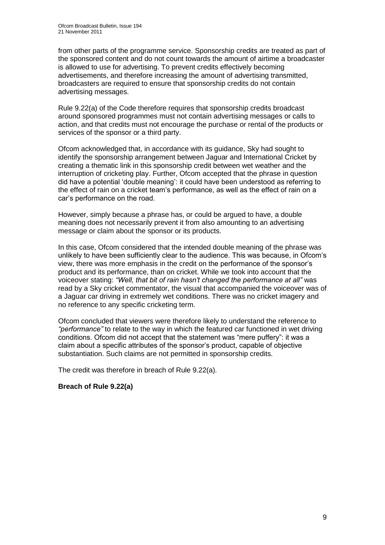from other parts of the programme service. Sponsorship credits are treated as part of the sponsored content and do not count towards the amount of airtime a broadcaster is allowed to use for advertising. To prevent credits effectively becoming advertisements, and therefore increasing the amount of advertising transmitted, broadcasters are required to ensure that sponsorship credits do not contain advertising messages.

Rule 9.22(a) of the Code therefore requires that sponsorship credits broadcast around sponsored programmes must not contain advertising messages or calls to action, and that credits must not encourage the purchase or rental of the products or services of the sponsor or a third party.

Ofcom acknowledged that, in accordance with its guidance, Sky had sought to identify the sponsorship arrangement between Jaguar and International Cricket by creating a thematic link in this sponsorship credit between wet weather and the interruption of cricketing play. Further, Ofcom accepted that the phrase in question did have a potential "double meaning": it could have been understood as referring to the effect of rain on a cricket team"s performance, as well as the effect of rain on a car"s performance on the road.

However, simply because a phrase has, or could be argued to have, a double meaning does not necessarily prevent it from also amounting to an advertising message or claim about the sponsor or its products.

In this case, Ofcom considered that the intended double meaning of the phrase was unlikely to have been sufficiently clear to the audience. This was because, in Ofcom"s view, there was more emphasis in the credit on the performance of the sponsor"s product and its performance, than on cricket. While we took into account that the voiceover stating: *"Well, that bit of rain hasn"t changed the performance at all"* was read by a Sky cricket commentator, the visual that accompanied the voiceover was of a Jaguar car driving in extremely wet conditions. There was no cricket imagery and no reference to any specific cricketing term.

Ofcom concluded that viewers were therefore likely to understand the reference to *"performance"* to relate to the way in which the featured car functioned in wet driving conditions. Ofcom did not accept that the statement was "mere puffery": it was a claim about a specific attributes of the sponsor"s product, capable of objective substantiation. Such claims are not permitted in sponsorship credits.

The credit was therefore in breach of Rule 9.22(a).

#### **Breach of Rule 9.22(a)**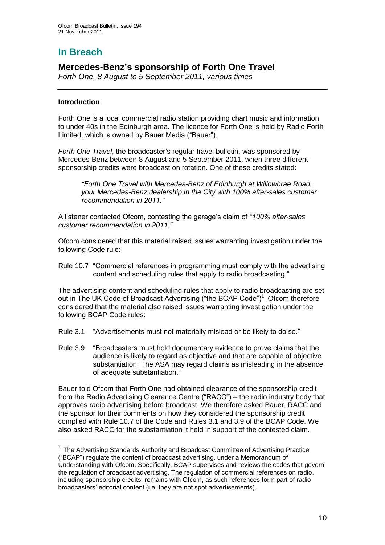# **In Breach**

## **Mercedes-Benz's sponsorship of Forth One Travel**

*Forth One, 8 August to 5 September 2011, various times*

#### **Introduction**

<u>.</u>

Forth One is a local commercial radio station providing chart music and information to under 40s in the Edinburgh area. The licence for Forth One is held by Radio Forth Limited, which is owned by Bauer Media ("Bauer").

*Forth One Travel*, the broadcaster"s regular travel bulletin, was sponsored by Mercedes-Benz between 8 August and 5 September 2011, when three different sponsorship credits were broadcast on rotation. One of these credits stated:

*"Forth One Travel with Mercedes-Benz of Edinburgh at Willowbrae Road, your Mercedes-Benz dealership in the City with 100% after-sales customer recommendation in 2011."*

A listener contacted Ofcom, contesting the garage"s claim of *"100% after-sales customer recommendation in 2011."*

Ofcom considered that this material raised issues warranting investigation under the following Code rule:

Rule 10.7 "Commercial references in programming must comply with the advertising content and scheduling rules that apply to radio broadcasting."

The advertising content and scheduling rules that apply to radio broadcasting are set out in The UK Code of Broadcast Advertising ("the BCAP Code")<sup>1</sup>. Ofcom therefore considered that the material also raised issues warranting investigation under the following BCAP Code rules:

- Rule 3.1 "Advertisements must not materially mislead or be likely to do so."
- Rule 3.9 "Broadcasters must hold documentary evidence to prove claims that the audience is likely to regard as objective and that are capable of objective substantiation. The ASA may regard claims as misleading in the absence of adequate substantiation."

Bauer told Ofcom that Forth One had obtained clearance of the sponsorship credit from the Radio Advertising Clearance Centre ("RACC") – the radio industry body that approves radio advertising before broadcast. We therefore asked Bauer, RACC and the sponsor for their comments on how they considered the sponsorship credit complied with Rule 10.7 of the Code and Rules 3.1 and 3.9 of the BCAP Code. We also asked RACC for the substantiation it held in support of the contested claim.

<sup>&</sup>lt;sup>1</sup> The Advertising Standards Authority and Broadcast Committee of Advertising Practice ("BCAP") regulate the content of broadcast advertising, under a Memorandum of Understanding with Ofcom. Specifically, BCAP supervises and reviews the codes that govern the regulation of broadcast advertising. The regulation of commercial references on radio, including sponsorship credits, remains with Ofcom, as such references form part of radio broadcasters" editorial content (i.e. they are not spot advertisements).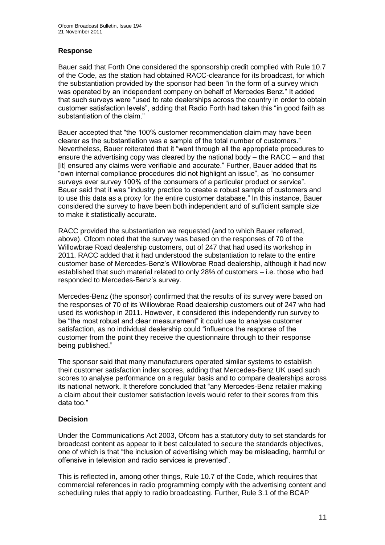#### **Response**

Bauer said that Forth One considered the sponsorship credit complied with Rule 10.7 of the Code, as the station had obtained RACC-clearance for its broadcast, for which the substantiation provided by the sponsor had been "in the form of a survey which was operated by an independent company on behalf of Mercedes Benz." It added that such surveys were "used to rate dealerships across the country in order to obtain customer satisfaction levels", adding that Radio Forth had taken this "in good faith as substantiation of the claim."

Bauer accepted that "the 100% customer recommendation claim may have been clearer as the substantiation was a sample of the total number of customers." Nevertheless, Bauer reiterated that it "went through all the appropriate procedures to ensure the advertising copy was cleared by the national body – the RACC – and that [it] ensured any claims were verifiable and accurate." Further, Bauer added that its "own internal compliance procedures did not highlight an issue", as "no consumer surveys ever survey 100% of the consumers of a particular product or service". Bauer said that it was "industry practice to create a robust sample of customers and to use this data as a proxy for the entire customer database." In this instance, Bauer considered the survey to have been both independent and of sufficient sample size to make it statistically accurate.

RACC provided the substantiation we requested (and to which Bauer referred, above). Ofcom noted that the survey was based on the responses of 70 of the Willowbrae Road dealership customers, out of 247 that had used its workshop in 2011. RACC added that it had understood the substantiation to relate to the entire customer base of Mercedes-Benz"s Willowbrae Road dealership, although it had now established that such material related to only 28% of customers – i.e. those who had responded to Mercedes-Benz's survey.

Mercedes-Benz (the sponsor) confirmed that the results of its survey were based on the responses of 70 of its Willowbrae Road dealership customers out of 247 who had used its workshop in 2011. However, it considered this independently run survey to be "the most robust and clear measurement" it could use to analyse customer satisfaction, as no individual dealership could "influence the response of the customer from the point they receive the questionnaire through to their response being published."

The sponsor said that many manufacturers operated similar systems to establish their customer satisfaction index scores, adding that Mercedes-Benz UK used such scores to analyse performance on a regular basis and to compare dealerships across its national network. It therefore concluded that "any Mercedes-Benz retailer making a claim about their customer satisfaction levels would refer to their scores from this data too."

#### **Decision**

Under the Communications Act 2003, Ofcom has a statutory duty to set standards for broadcast content as appear to it best calculated to secure the standards objectives, one of which is that "the inclusion of advertising which may be misleading, harmful or offensive in television and radio services is prevented".

This is reflected in, among other things, Rule 10.7 of the Code, which requires that commercial references in radio programming comply with the advertising content and scheduling rules that apply to radio broadcasting. Further, Rule 3.1 of the BCAP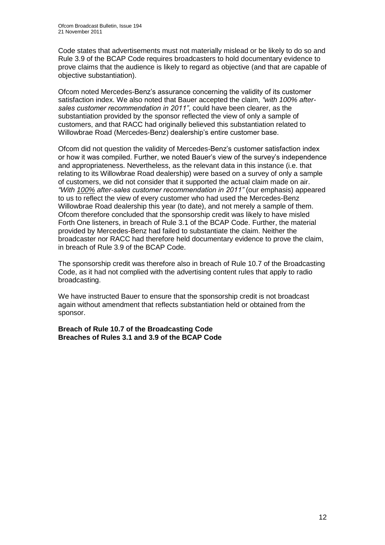Code states that advertisements must not materially mislead or be likely to do so and Rule 3.9 of the BCAP Code requires broadcasters to hold documentary evidence to prove claims that the audience is likely to regard as objective (and that are capable of objective substantiation).

Ofcom noted Mercedes-Benz"s assurance concerning the validity of its customer satisfaction index. We also noted that Bauer accepted the claim, *"with 100% aftersales customer recommendation in 2011"*, could have been clearer, as the substantiation provided by the sponsor reflected the view of only a sample of customers, and that RACC had originally believed this substantiation related to Willowbrae Road (Mercedes-Benz) dealership"s entire customer base.

Ofcom did not question the validity of Mercedes-Benz"s customer satisfaction index or how it was compiled. Further, we noted Bauer"s view of the survey"s independence and appropriateness. Nevertheless, as the relevant data in this instance (i.e. that relating to its Willowbrae Road dealership) were based on a survey of only a sample of customers, we did not consider that it supported the actual claim made on air. *"With 100% after-sales customer recommendation in 2011"* (our emphasis) appeared to us to reflect the view of every customer who had used the Mercedes-Benz Willowbrae Road dealership this year (to date), and not merely a sample of them. Ofcom therefore concluded that the sponsorship credit was likely to have misled Forth One listeners, in breach of Rule 3.1 of the BCAP Code. Further, the material provided by Mercedes-Benz had failed to substantiate the claim. Neither the broadcaster nor RACC had therefore held documentary evidence to prove the claim, in breach of Rule 3.9 of the BCAP Code.

The sponsorship credit was therefore also in breach of Rule 10.7 of the Broadcasting Code, as it had not complied with the advertising content rules that apply to radio broadcasting.

We have instructed Bauer to ensure that the sponsorship credit is not broadcast again without amendment that reflects substantiation held or obtained from the sponsor.

**Breach of Rule 10.7 of the Broadcasting Code Breaches of Rules 3.1 and 3.9 of the BCAP Code**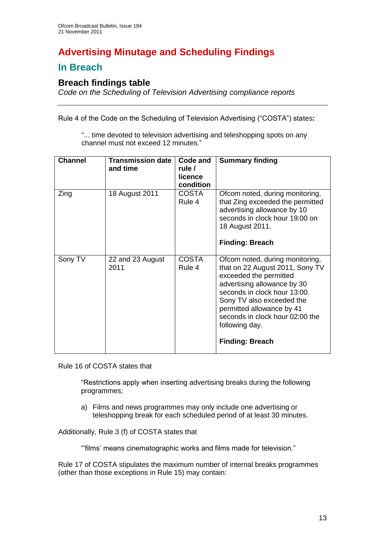# **Advertising Minutage and Scheduling Findings**

## **In Breach**

## **Breach findings table**

*Code on the Scheduling of Television Advertising compliance reports*

Rule 4 of the Code on the Scheduling of Television Advertising ("COSTA") states**:**

"... time devoted to television advertising and teleshopping spots on any channel must not exceed 12 minutes."

| <b>Channel</b> | <b>Transmission date</b><br>and time | Code and<br>rule /<br>licence<br>condition | <b>Summary finding</b>                                                                                                                                                                                                                                                                               |
|----------------|--------------------------------------|--------------------------------------------|------------------------------------------------------------------------------------------------------------------------------------------------------------------------------------------------------------------------------------------------------------------------------------------------------|
| Zing           | 18 August 2011                       | <b>COSTA</b><br>Rule 4                     | Ofcom noted, during monitoring,<br>that Zing exceeded the permitted<br>advertising allowance by 10<br>seconds in clock hour 19:00 on<br>18 August 2011.<br><b>Finding: Breach</b>                                                                                                                    |
| Sony TV        | 22 and 23 August<br>2011             | <b>COSTA</b><br>Rule 4                     | Ofcom noted, during monitoring,<br>that on 22 August 2011, Sony TV<br>exceeded the permitted<br>advertising allowance by 30<br>seconds in clock hour 13:00.<br>Sony TV also exceeded the<br>permitted allowance by 41<br>seconds in clock hour 02:00 the<br>following day.<br><b>Finding: Breach</b> |

Rule 16 of COSTA states that

"Restrictions apply when inserting advertising breaks during the following programmes;

a) Films and news programmes may only include one advertising or teleshopping break for each scheduled period of at least 30 minutes.

Additionally, Rule 3 (f) of COSTA states that

""films" means cinematographic works and films made for television."

Rule 17 of COSTA stipulates the maximum number of internal breaks programmes (other than those exceptions in Rule 15) may contain: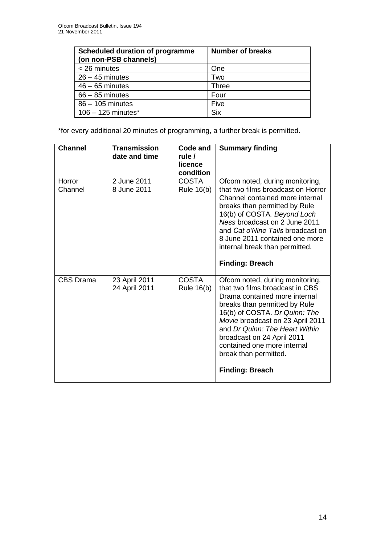| <b>Scheduled duration of programme</b><br>(on non-PSB channels) | <b>Number of breaks</b> |
|-----------------------------------------------------------------|-------------------------|
| < 26 minutes                                                    | One                     |
| $26 - 45$ minutes                                               | Two                     |
| $46 - 65$ minutes                                               | <b>Three</b>            |
| $66 - 85$ minutes                                               | Four                    |
| 86 - 105 minutes                                                | Five                    |
| $106 - 125$ minutes*                                            | <b>Six</b>              |

\*for every additional 20 minutes of programming, a further break is permitted.

| <b>Channel</b>    | <b>Transmission</b><br>date and time | Code and<br>rule /<br>licence<br>condition | <b>Summary finding</b>                                                                                                                                                                                                                                                                                                                                      |
|-------------------|--------------------------------------|--------------------------------------------|-------------------------------------------------------------------------------------------------------------------------------------------------------------------------------------------------------------------------------------------------------------------------------------------------------------------------------------------------------------|
| Horror<br>Channel | 2 June 2011<br>8 June 2011           | <b>COSTA</b><br><b>Rule 16(b)</b>          | Ofcom noted, during monitoring,<br>that two films broadcast on Horror<br>Channel contained more internal<br>breaks than permitted by Rule<br>16(b) of COSTA. Beyond Loch<br>Ness broadcast on 2 June 2011<br>and Cat o'Nine Tails broadcast on<br>8 June 2011 contained one more<br>internal break than permitted.<br><b>Finding: Breach</b>                |
| <b>CBS Drama</b>  | 23 April 2011<br>24 April 2011       | <b>COSTA</b><br><b>Rule 16(b)</b>          | Ofcom noted, during monitoring,<br>that two films broadcast in CBS<br>Drama contained more internal<br>breaks than permitted by Rule<br>16(b) of COSTA. Dr Quinn: The<br>Movie broadcast on 23 April 2011<br>and Dr Quinn: The Heart Within<br>broadcast on 24 April 2011<br>contained one more internal<br>break than permitted.<br><b>Finding: Breach</b> |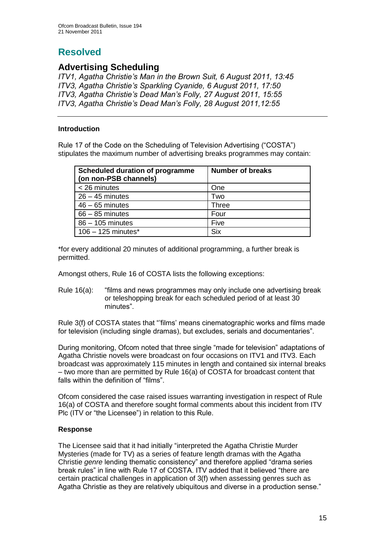# **Resolved**

## **Advertising Scheduling**

*ITV1, Agatha Christie"s Man in the Brown Suit, 6 August 2011, 13:45 ITV3, Agatha Christie"s Sparkling Cyanide, 6 August 2011, 17:50 ITV3, Agatha Christie"s Dead Man"s Folly, 27 August 2011, 15:55 ITV3, Agatha Christie"s Dead Man"s Folly, 28 August 2011,12:55*

#### **Introduction**

Rule 17 of the Code on the Scheduling of Television Advertising ("COSTA") stipulates the maximum number of advertising breaks programmes may contain:

| <b>Scheduled duration of programme</b><br>(on non-PSB channels) | <b>Number of breaks</b> |
|-----------------------------------------------------------------|-------------------------|
| $<$ 26 minutes                                                  | One                     |
| $26 - 45$ minutes                                               | Two                     |
| $46 - 65$ minutes                                               | Three                   |
| $66 - 85$ minutes                                               | Four                    |
| 86 - 105 minutes                                                | Five                    |
| $106 - 125$ minutes <sup>*</sup>                                | <b>Six</b>              |

\*for every additional 20 minutes of additional programming, a further break is permitted.

Amongst others, Rule 16 of COSTA lists the following exceptions:

Rule 16(a): "films and news programmes may only include one advertising break or teleshopping break for each scheduled period of at least 30 minutes".

Rule 3(f) of COSTA states that ""films" means cinematographic works and films made for television (including single dramas), but excludes, serials and documentaries".

During monitoring, Ofcom noted that three single "made for television" adaptations of Agatha Christie novels were broadcast on four occasions on ITV1 and ITV3. Each broadcast was approximately 115 minutes in length and contained six internal breaks – two more than are permitted by Rule 16(a) of COSTA for broadcast content that falls within the definition of "films".

Ofcom considered the case raised issues warranting investigation in respect of Rule 16(a) of COSTA and therefore sought formal comments about this incident from ITV Plc (ITV or "the Licensee") in relation to this Rule.

#### **Response**

The Licensee said that it had initially "interpreted the Agatha Christie Murder Mysteries (made for TV) as a series of feature length dramas with the Agatha Christie *genre* lending thematic consistency" and therefore applied "drama series break rules" in line with Rule 17 of COSTA. ITV added that it believed "there are certain practical challenges in application of 3(f) when assessing genres such as Agatha Christie as they are relatively ubiquitous and diverse in a production sense."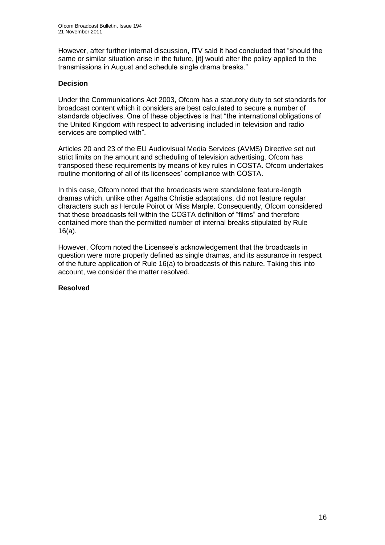However, after further internal discussion, ITV said it had concluded that "should the same or similar situation arise in the future, [it] would alter the policy applied to the transmissions in August and schedule single drama breaks."

#### **Decision**

Under the Communications Act 2003, Ofcom has a statutory duty to set standards for broadcast content which it considers are best calculated to secure a number of standards objectives. One of these objectives is that "the international obligations of the United Kingdom with respect to advertising included in television and radio services are complied with".

Articles 20 and 23 of the EU Audiovisual Media Services (AVMS) Directive set out strict limits on the amount and scheduling of television advertising. Ofcom has transposed these requirements by means of key rules in COSTA. Ofcom undertakes routine monitoring of all of its licensees' compliance with COSTA.

In this case, Ofcom noted that the broadcasts were standalone feature-length dramas which, unlike other Agatha Christie adaptations, did not feature regular characters such as Hercule Poirot or Miss Marple. Consequently, Ofcom considered that these broadcasts fell within the COSTA definition of "films" and therefore contained more than the permitted number of internal breaks stipulated by Rule 16(a).

However, Ofcom noted the Licensee's acknowledgement that the broadcasts in question were more properly defined as single dramas, and its assurance in respect of the future application of Rule 16(a) to broadcasts of this nature. Taking this into account, we consider the matter resolved.

#### **Resolved**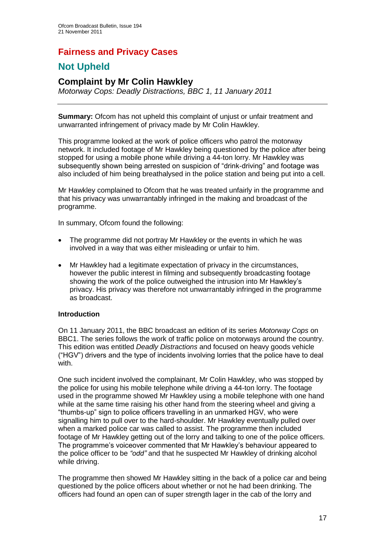## **Fairness and Privacy Cases**

# **Not Upheld**

## **Complaint by Mr Colin Hawkley**

*Motorway Cops: Deadly Distractions, BBC 1, 11 January 2011*

**Summary:** Ofcom has not upheld this complaint of unjust or unfair treatment and unwarranted infringement of privacy made by Mr Colin Hawkley.

This programme looked at the work of police officers who patrol the motorway network. It included footage of Mr Hawkley being questioned by the police after being stopped for using a mobile phone while driving a 44-ton lorry. Mr Hawkley was subsequently shown being arrested on suspicion of "drink-driving" and footage was also included of him being breathalysed in the police station and being put into a cell.

Mr Hawkley complained to Ofcom that he was treated unfairly in the programme and that his privacy was unwarrantably infringed in the making and broadcast of the programme.

In summary, Ofcom found the following:

- The programme did not portray Mr Hawkley or the events in which he was involved in a way that was either misleading or unfair to him.
- Mr Hawkley had a legitimate expectation of privacy in the circumstances, however the public interest in filming and subsequently broadcasting footage showing the work of the police outweighed the intrusion into Mr Hawkley"s privacy. His privacy was therefore not unwarrantably infringed in the programme as broadcast.

#### **Introduction**

On 11 January 2011, the BBC broadcast an edition of its series *Motorway Cops* on BBC1. The series follows the work of traffic police on motorways around the country. This edition was entitled *Deadly Distractions* and focused on heavy goods vehicle ("HGV") drivers and the type of incidents involving lorries that the police have to deal with.

One such incident involved the complainant, Mr Colin Hawkley, who was stopped by the police for using his mobile telephone while driving a 44-ton lorry. The footage used in the programme showed Mr Hawkley using a mobile telephone with one hand while at the same time raising his other hand from the steering wheel and giving a "thumbs-up" sign to police officers travelling in an unmarked HGV, who were signalling him to pull over to the hard-shoulder. Mr Hawkley eventually pulled over when a marked police car was called to assist. The programme then included footage of Mr Hawkley getting out of the lorry and talking to one of the police officers. The programme"s voiceover commented that Mr Hawkley"s behaviour appeared to the police officer to be *"odd"* and that he suspected Mr Hawkley of drinking alcohol while driving.

The programme then showed Mr Hawkley sitting in the back of a police car and being questioned by the police officers about whether or not he had been drinking. The officers had found an open can of super strength lager in the cab of the lorry and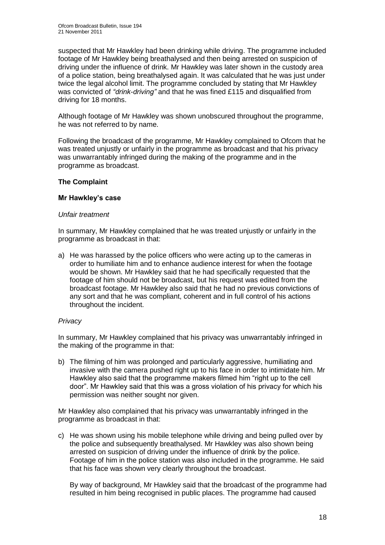suspected that Mr Hawkley had been drinking while driving. The programme included footage of Mr Hawkley being breathalysed and then being arrested on suspicion of driving under the influence of drink. Mr Hawkley was later shown in the custody area of a police station, being breathalysed again. It was calculated that he was just under twice the legal alcohol limit. The programme concluded by stating that Mr Hawkley was convicted of *"drink-driving"* and that he was fined £115 and disqualified from driving for 18 months.

Although footage of Mr Hawkley was shown unobscured throughout the programme, he was not referred to by name.

Following the broadcast of the programme, Mr Hawkley complained to Ofcom that he was treated unjustly or unfairly in the programme as broadcast and that his privacy was unwarrantably infringed during the making of the programme and in the programme as broadcast.

#### **The Complaint**

#### **Mr Hawkley's case**

#### *Unfair treatment*

In summary, Mr Hawkley complained that he was treated unjustly or unfairly in the programme as broadcast in that:

a) He was harassed by the police officers who were acting up to the cameras in order to humiliate him and to enhance audience interest for when the footage would be shown. Mr Hawkley said that he had specifically requested that the footage of him should not be broadcast, but his request was edited from the broadcast footage. Mr Hawkley also said that he had no previous convictions of any sort and that he was compliant, coherent and in full control of his actions throughout the incident.

#### *Privacy*

In summary, Mr Hawkley complained that his privacy was unwarrantably infringed in the making of the programme in that:

b) The filming of him was prolonged and particularly aggressive, humiliating and invasive with the camera pushed right up to his face in order to intimidate him. Mr Hawkley also said that the programme makers filmed him "right up to the cell door". Mr Hawkley said that this was a gross violation of his privacy for which his permission was neither sought nor given.

Mr Hawkley also complained that his privacy was unwarrantably infringed in the programme as broadcast in that:

c) He was shown using his mobile telephone while driving and being pulled over by the police and subsequently breathalysed. Mr Hawkley was also shown being arrested on suspicion of driving under the influence of drink by the police. Footage of him in the police station was also included in the programme. He said that his face was shown very clearly throughout the broadcast.

By way of background, Mr Hawkley said that the broadcast of the programme had resulted in him being recognised in public places. The programme had caused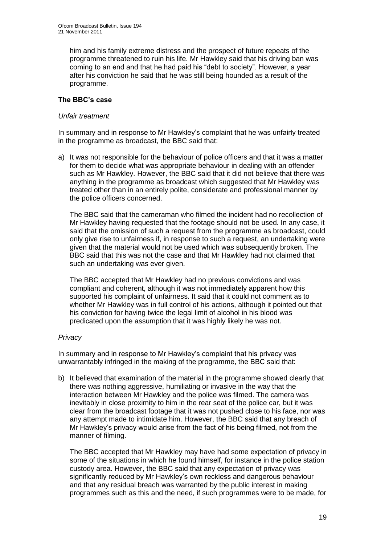him and his family extreme distress and the prospect of future repeats of the programme threatened to ruin his life. Mr Hawkley said that his driving ban was coming to an end and that he had paid his "debt to society". However, a year after his conviction he said that he was still being hounded as a result of the programme.

#### **The BBC's case**

#### *Unfair treatment*

In summary and in response to Mr Hawkley"s complaint that he was unfairly treated in the programme as broadcast, the BBC said that:

a) It was not responsible for the behaviour of police officers and that it was a matter for them to decide what was appropriate behaviour in dealing with an offender such as Mr Hawkley. However, the BBC said that it did not believe that there was anything in the programme as broadcast which suggested that Mr Hawkley was treated other than in an entirely polite, considerate and professional manner by the police officers concerned.

The BBC said that the cameraman who filmed the incident had no recollection of Mr Hawkley having requested that the footage should not be used. In any case, it said that the omission of such a request from the programme as broadcast, could only give rise to unfairness if, in response to such a request, an undertaking were given that the material would not be used which was subsequently broken. The BBC said that this was not the case and that Mr Hawkley had not claimed that such an undertaking was ever given.

The BBC accepted that Mr Hawkley had no previous convictions and was compliant and coherent, although it was not immediately apparent how this supported his complaint of unfairness. It said that it could not comment as to whether Mr Hawkley was in full control of his actions, although it pointed out that his conviction for having twice the legal limit of alcohol in his blood was predicated upon the assumption that it was highly likely he was not.

#### *Privacy*

In summary and in response to Mr Hawkley"s complaint that his privacy was unwarrantably infringed in the making of the programme, the BBC said that:

b) It believed that examination of the material in the programme showed clearly that there was nothing aggressive, humiliating or invasive in the way that the interaction between Mr Hawkley and the police was filmed. The camera was inevitably in close proximity to him in the rear seat of the police car, but it was clear from the broadcast footage that it was not pushed close to his face, nor was any attempt made to intimidate him. However, the BBC said that any breach of Mr Hawkley"s privacy would arise from the fact of his being filmed, not from the manner of filming.

The BBC accepted that Mr Hawkley may have had some expectation of privacy in some of the situations in which he found himself, for instance in the police station custody area. However, the BBC said that any expectation of privacy was significantly reduced by Mr Hawkley"s own reckless and dangerous behaviour and that any residual breach was warranted by the public interest in making programmes such as this and the need, if such programmes were to be made, for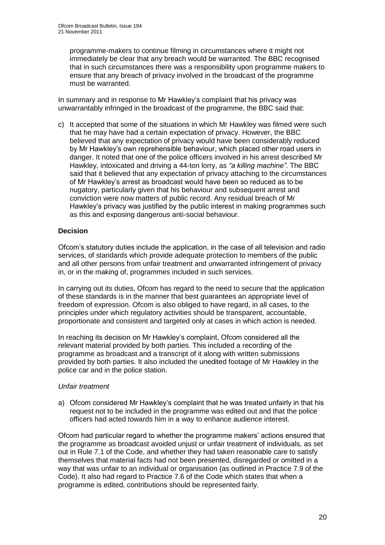programme-makers to continue filming in circumstances where it might not immediately be clear that any breach would be warranted. The BBC recognised that in such circumstances there was a responsibility upon programme makers to ensure that any breach of privacy involved in the broadcast of the programme must be warranted.

In summary and in response to Mr Hawkley"s complaint that his privacy was unwarrantably infringed in the broadcast of the programme, the BBC said that:

c) It accepted that some of the situations in which Mr Hawkley was filmed were such that he may have had a certain expectation of privacy. However, the BBC believed that any expectation of privacy would have been considerably reduced by Mr Hawkley"s own reprehensible behaviour, which placed other road users in danger. It noted that one of the police officers involved in his arrest described Mr Hawkley, intoxicated and driving a 44-ton lorry, as *"a killing machine"*. The BBC said that it believed that any expectation of privacy attaching to the circumstances of Mr Hawkley"s arrest as broadcast would have been so reduced as to be nugatory, particularly given that his behaviour and subsequent arrest and conviction were now matters of public record. Any residual breach of Mr Hawkley's privacy was justified by the public interest in making programmes such as this and exposing dangerous anti-social behaviour.

#### **Decision**

Ofcom"s statutory duties include the application, in the case of all television and radio services, of standards which provide adequate protection to members of the public and all other persons from unfair treatment and unwarranted infringement of privacy in, or in the making of, programmes included in such services.

In carrying out its duties, Ofcom has regard to the need to secure that the application of these standards is in the manner that best guarantees an appropriate level of freedom of expression. Ofcom is also obliged to have regard, in all cases, to the principles under which regulatory activities should be transparent, accountable, proportionate and consistent and targeted only at cases in which action is needed.

In reaching its decision on Mr Hawkley"s complaint, Ofcom considered all the relevant material provided by both parties. This included a recording of the programme as broadcast and a transcript of it along with written submissions provided by both parties. It also included the unedited footage of Mr Hawkley in the police car and in the police station.

#### *Unfair treatment*

a) Ofcom considered Mr Hawkley"s complaint that he was treated unfairly in that his request not to be included in the programme was edited out and that the police officers had acted towards him in a way to enhance audience interest.

Ofcom had particular regard to whether the programme makers" actions ensured that the programme as broadcast avoided unjust or unfair treatment of individuals, as set out in Rule 7.1 of the Code, and whether they had taken reasonable care to satisfy themselves that material facts had not been presented, disregarded or omitted in a way that was unfair to an individual or organisation (as outlined in Practice 7.9 of the Code). It also had regard to Practice 7.6 of the Code which states that when a programme is edited, contributions should be represented fairly.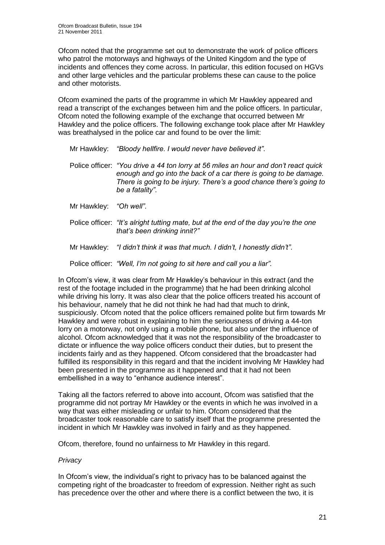Ofcom noted that the programme set out to demonstrate the work of police officers who patrol the motorways and highways of the United Kingdom and the type of incidents and offences they come across. In particular, this edition focused on HGVs and other large vehicles and the particular problems these can cause to the police and other motorists.

Ofcom examined the parts of the programme in which Mr Hawkley appeared and read a transcript of the exchanges between him and the police officers. In particular, Ofcom noted the following example of the exchange that occurred between Mr Hawkley and the police officers. The following exchange took place after Mr Hawkley was breathalysed in the police car and found to be over the limit:

| Mr Hawkley: | "Bloody hellfire. I would never have believed it". |  |
|-------------|----------------------------------------------------|--|
|             |                                                    |  |

- Police officer: *"You drive a 44 ton lorry at 56 miles an hour and don"t react quick enough and go into the back of a car there is going to be damage. There is going to be injury. There"s a good chance there"s going to be a fatality"*.
- Mr Hawkley: *"Oh well"*.
- Police officer: *"It"s alright tutting mate, but at the end of the day you"re the one that"s been drinking innit?"*
- Mr Hawkley: *"I didn"t think it was that much. I didn"t, I honestly didn"t"*.

Police officer: *"Well, I"m not going to sit here and call you a liar".*

In Ofcom"s view, it was clear from Mr Hawkley"s behaviour in this extract (and the rest of the footage included in the programme) that he had been drinking alcohol while driving his lorry. It was also clear that the police officers treated his account of his behaviour, namely that he did not think he had had that much to drink, suspiciously. Ofcom noted that the police officers remained polite but firm towards Mr Hawkley and were robust in explaining to him the seriousness of driving a 44-ton lorry on a motorway, not only using a mobile phone, but also under the influence of alcohol. Ofcom acknowledged that it was not the responsibility of the broadcaster to dictate or influence the way police officers conduct their duties, but to present the incidents fairly and as they happened. Ofcom considered that the broadcaster had fulfilled its responsibility in this regard and that the incident involving Mr Hawkley had been presented in the programme as it happened and that it had not been embellished in a way to "enhance audience interest".

Taking all the factors referred to above into account, Ofcom was satisfied that the programme did not portray Mr Hawkley or the events in which he was involved in a way that was either misleading or unfair to him. Ofcom considered that the broadcaster took reasonable care to satisfy itself that the programme presented the incident in which Mr Hawkley was involved in fairly and as they happened.

Ofcom, therefore, found no unfairness to Mr Hawkley in this regard.

#### *Privacy*

In Ofcom's view, the individual's right to privacy has to be balanced against the competing right of the broadcaster to freedom of expression. Neither right as such has precedence over the other and where there is a conflict between the two, it is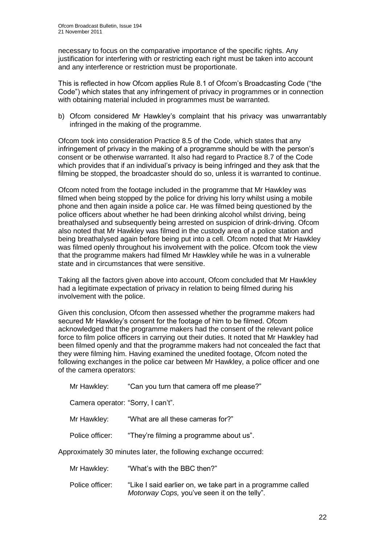necessary to focus on the comparative importance of the specific rights. Any justification for interfering with or restricting each right must be taken into account and any interference or restriction must be proportionate.

This is reflected in how Ofcom applies Rule 8.1 of Ofcom"s Broadcasting Code ("the Code") which states that any infringement of privacy in programmes or in connection with obtaining material included in programmes must be warranted.

b) Ofcom considered Mr Hawkley's complaint that his privacy was unwarrantably infringed in the making of the programme.

Ofcom took into consideration Practice 8.5 of the Code, which states that any infringement of privacy in the making of a programme should be with the person"s consent or be otherwise warranted. It also had regard to Practice 8.7 of the Code which provides that if an individual"s privacy is being infringed and they ask that the filming be stopped, the broadcaster should do so, unless it is warranted to continue.

Ofcom noted from the footage included in the programme that Mr Hawkley was filmed when being stopped by the police for driving his lorry whilst using a mobile phone and then again inside a police car. He was filmed being questioned by the police officers about whether he had been drinking alcohol whilst driving, being breathalysed and subsequently being arrested on suspicion of drink-driving. Ofcom also noted that Mr Hawkley was filmed in the custody area of a police station and being breathalysed again before being put into a cell. Ofcom noted that Mr Hawkley was filmed openly throughout his involvement with the police. Ofcom took the view that the programme makers had filmed Mr Hawkley while he was in a vulnerable state and in circumstances that were sensitive.

Taking all the factors given above into account, Ofcom concluded that Mr Hawkley had a legitimate expectation of privacy in relation to being filmed during his involvement with the police.

Given this conclusion, Ofcom then assessed whether the programme makers had secured Mr Hawkley's consent for the footage of him to be filmed. Ofcom acknowledged that the programme makers had the consent of the relevant police force to film police officers in carrying out their duties. It noted that Mr Hawkley had been filmed openly and that the programme makers had not concealed the fact that they were filming him. Having examined the unedited footage, Ofcom noted the following exchanges in the police car between Mr Hawkley, a police officer and one of the camera operators:

Mr Hawkley: "Can you turn that camera off me please?"

Camera operator: "Sorry, I can't".

- Mr Hawkley: "What are all these cameras for?"
- Police officer: "They're filming a programme about us".

Approximately 30 minutes later, the following exchange occurred:

- Mr Hawkley: "What's with the BBC then?"
- Police officer: "Like I said earlier on, we take part in a programme called *Motorway Cops,* you"ve seen it on the telly".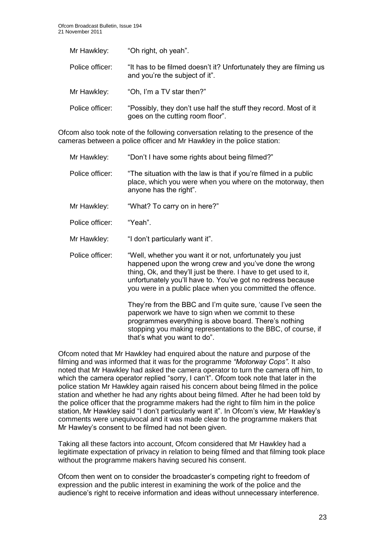| Mr Hawkley:     | "Oh right, oh yeah".                                                                                 |
|-----------------|------------------------------------------------------------------------------------------------------|
| Police officer: | "It has to be filmed doesn't it? Unfortunately they are filming us<br>and you're the subject of it". |
| Mr Hawkley:     | "Oh, I'm a TV star then?"                                                                            |
| Police officer: | "Possibly, they don't use half the stuff they record. Most of it<br>goes on the cutting room floor". |

Ofcom also took note of the following conversation relating to the presence of the cameras between a police officer and Mr Hawkley in the police station:

Mr Hawkley: "Don't I have some rights about being filmed?" Police officer: "The situation with the law is that if you're filmed in a public place, which you were when you where on the motorway, then anyone has the right". Mr Hawkley: "What? To carry on in here?" Police officer: "Yeah". Mr Hawkley: "I don't particularly want it". Police officer: "Well, whether you want it or not, unfortunately you just happened upon the wrong crew and you"ve done the wrong thing, Ok, and they"ll just be there. I have to get used to it, unfortunately you"ll have to. You"ve got no redress because you were in a public place when you committed the offence. They're from the BBC and I'm quite sure, 'cause I've seen the paperwork we have to sign when we commit to these programmes everything is above board. There"s nothing

stopping you making representations to the BBC, of course, if

Ofcom noted that Mr Hawkley had enquired about the nature and purpose of the filming and was informed that it was for the programme *"Motorway Cops"*. It also noted that Mr Hawkley had asked the camera operator to turn the camera off him, to which the camera operator replied "sorry, I can't". Ofcom took note that later in the police station Mr Hawkley again raised his concern about being filmed in the police station and whether he had any rights about being filmed. After he had been told by the police officer that the programme makers had the right to film him in the police station, Mr Hawkley said "I don't particularly want it". In Ofcom's view, Mr Hawkley's comments were unequivocal and it was made clear to the programme makers that Mr Hawley"s consent to be filmed had not been given.

that"s what you want to do".

Taking all these factors into account, Ofcom considered that Mr Hawkley had a legitimate expectation of privacy in relation to being filmed and that filming took place without the programme makers having secured his consent.

Ofcom then went on to consider the broadcaster"s competing right to freedom of expression and the public interest in examining the work of the police and the audience's right to receive information and ideas without unnecessary interference.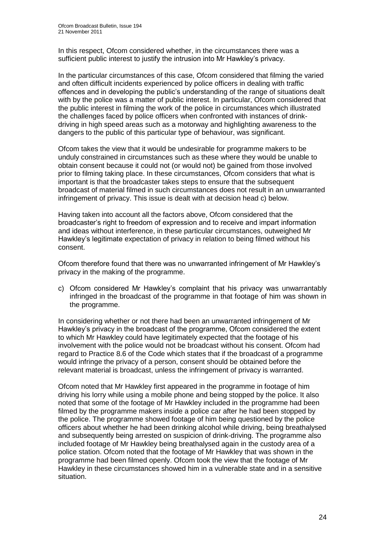In this respect, Ofcom considered whether, in the circumstances there was a sufficient public interest to justify the intrusion into Mr Hawkley's privacy.

In the particular circumstances of this case, Ofcom considered that filming the varied and often difficult incidents experienced by police officers in dealing with traffic offences and in developing the public"s understanding of the range of situations dealt with by the police was a matter of public interest. In particular, Ofcom considered that the public interest in filming the work of the police in circumstances which illustrated the challenges faced by police officers when confronted with instances of drinkdriving in high speed areas such as a motorway and highlighting awareness to the dangers to the public of this particular type of behaviour, was significant.

Ofcom takes the view that it would be undesirable for programme makers to be unduly constrained in circumstances such as these where they would be unable to obtain consent because it could not (or would not) be gained from those involved prior to filming taking place. In these circumstances, Ofcom considers that what is important is that the broadcaster takes steps to ensure that the subsequent broadcast of material filmed in such circumstances does not result in an unwarranted infringement of privacy. This issue is dealt with at decision head c) below.

Having taken into account all the factors above, Ofcom considered that the broadcaster"s right to freedom of expression and to receive and impart information and ideas without interference, in these particular circumstances, outweighed Mr Hawkley"s legitimate expectation of privacy in relation to being filmed without his consent.

Ofcom therefore found that there was no unwarranted infringement of Mr Hawkley"s privacy in the making of the programme.

c) Ofcom considered Mr Hawkley"s complaint that his privacy was unwarrantably infringed in the broadcast of the programme in that footage of him was shown in the programme.

In considering whether or not there had been an unwarranted infringement of Mr Hawkley"s privacy in the broadcast of the programme, Ofcom considered the extent to which Mr Hawkley could have legitimately expected that the footage of his involvement with the police would not be broadcast without his consent. Ofcom had regard to Practice 8.6 of the Code which states that if the broadcast of a programme would infringe the privacy of a person, consent should be obtained before the relevant material is broadcast, unless the infringement of privacy is warranted.

Ofcom noted that Mr Hawkley first appeared in the programme in footage of him driving his lorry while using a mobile phone and being stopped by the police. It also noted that some of the footage of Mr Hawkley included in the programme had been filmed by the programme makers inside a police car after he had been stopped by the police. The programme showed footage of him being questioned by the police officers about whether he had been drinking alcohol while driving, being breathalysed and subsequently being arrested on suspicion of drink-driving. The programme also included footage of Mr Hawkley being breathalysed again in the custody area of a police station. Ofcom noted that the footage of Mr Hawkley that was shown in the programme had been filmed openly. Ofcom took the view that the footage of Mr Hawkley in these circumstances showed him in a vulnerable state and in a sensitive situation.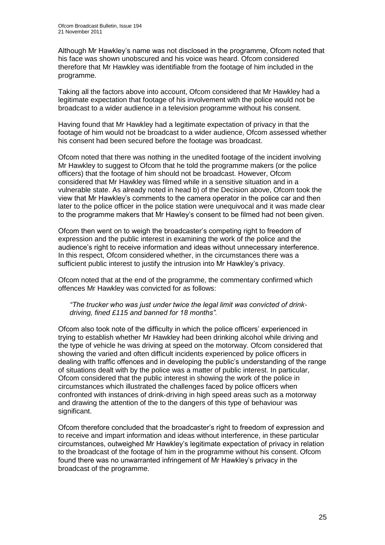Although Mr Hawkley"s name was not disclosed in the programme, Ofcom noted that his face was shown unobscured and his voice was heard. Ofcom considered therefore that Mr Hawkley was identifiable from the footage of him included in the programme.

Taking all the factors above into account, Ofcom considered that Mr Hawkley had a legitimate expectation that footage of his involvement with the police would not be broadcast to a wider audience in a television programme without his consent.

Having found that Mr Hawkley had a legitimate expectation of privacy in that the footage of him would not be broadcast to a wider audience, Ofcom assessed whether his consent had been secured before the footage was broadcast.

Ofcom noted that there was nothing in the unedited footage of the incident involving Mr Hawkley to suggest to Ofcom that he told the programme makers (or the police officers) that the footage of him should not be broadcast. However, Ofcom considered that Mr Hawkley was filmed while in a sensitive situation and in a vulnerable state. As already noted in head b) of the Decision above, Ofcom took the view that Mr Hawkley"s comments to the camera operator in the police car and then later to the police officer in the police station were unequivocal and it was made clear to the programme makers that Mr Hawley"s consent to be filmed had not been given.

Ofcom then went on to weigh the broadcaster"s competing right to freedom of expression and the public interest in examining the work of the police and the audience"s right to receive information and ideas without unnecessary interference. In this respect, Ofcom considered whether, in the circumstances there was a sufficient public interest to justify the intrusion into Mr Hawkley"s privacy.

Ofcom noted that at the end of the programme, the commentary confirmed which offences Mr Hawkley was convicted for as follows:

*"The trucker who was just under twice the legal limit was convicted of drinkdriving, fined £115 and banned for 18 months".*

Ofcom also took note of the difficulty in which the police officers" experienced in trying to establish whether Mr Hawkley had been drinking alcohol while driving and the type of vehicle he was driving at speed on the motorway. Ofcom considered that showing the varied and often difficult incidents experienced by police officers in dealing with traffic offences and in developing the public"s understanding of the range of situations dealt with by the police was a matter of public interest. In particular, Ofcom considered that the public interest in showing the work of the police in circumstances which illustrated the challenges faced by police officers when confronted with instances of drink-driving in high speed areas such as a motorway and drawing the attention of the to the dangers of this type of behaviour was significant.

Ofcom therefore concluded that the broadcaster"s right to freedom of expression and to receive and impart information and ideas without interference, in these particular circumstances, outweighed Mr Hawkley"s legitimate expectation of privacy in relation to the broadcast of the footage of him in the programme without his consent. Ofcom found there was no unwarranted infringement of Mr Hawkley"s privacy in the broadcast of the programme.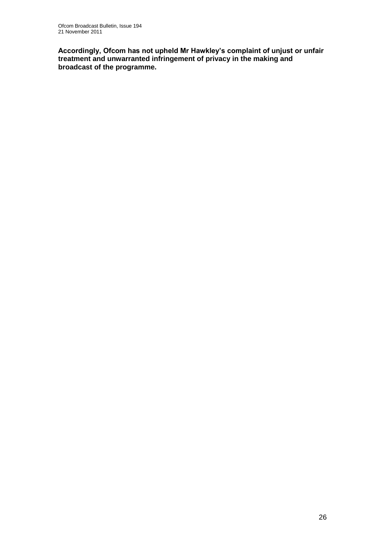**Accordingly, Ofcom has not upheld Mr Hawkley's complaint of unjust or unfair treatment and unwarranted infringement of privacy in the making and broadcast of the programme.**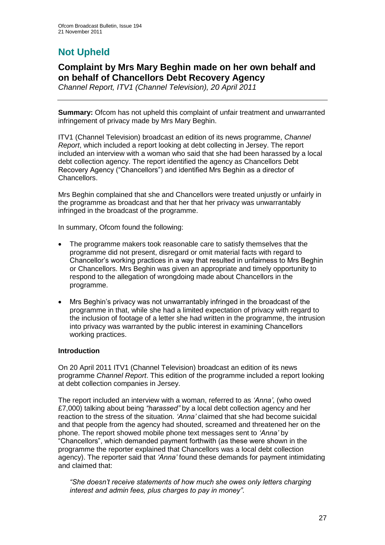# **Not Upheld**

## **Complaint by Mrs Mary Beghin made on her own behalf and on behalf of Chancellors Debt Recovery Agency**

*Channel Report, ITV1 (Channel Television), 20 April 2011*

**Summary:** Ofcom has not upheld this complaint of unfair treatment and unwarranted infringement of privacy made by Mrs Mary Beghin.

ITV1 (Channel Television) broadcast an edition of its news programme, *Channel Report*, which included a report looking at debt collecting in Jersey. The report included an interview with a woman who said that she had been harassed by a local debt collection agency. The report identified the agency as Chancellors Debt Recovery Agency ("Chancellors") and identified Mrs Beghin as a director of Chancellors.

Mrs Beghin complained that she and Chancellors were treated unjustly or unfairly in the programme as broadcast and that her that her privacy was unwarrantably infringed in the broadcast of the programme.

In summary, Ofcom found the following:

- The programme makers took reasonable care to satisfy themselves that the programme did not present, disregard or omit material facts with regard to Chancellor"s working practices in a way that resulted in unfairness to Mrs Beghin or Chancellors. Mrs Beghin was given an appropriate and timely opportunity to respond to the allegation of wrongdoing made about Chancellors in the programme.
- Mrs Beghin"s privacy was not unwarrantably infringed in the broadcast of the programme in that, while she had a limited expectation of privacy with regard to the inclusion of footage of a letter she had written in the programme, the intrusion into privacy was warranted by the public interest in examining Chancellors working practices.

#### **Introduction**

On 20 April 2011 ITV1 (Channel Television) broadcast an edition of its news programme *Channel Report*. This edition of the programme included a report looking at debt collection companies in Jersey.

The report included an interview with a woman, referred to as *"Anna"*, (who owed £7,000) talking about being *"harassed"* by a local debt collection agency and her reaction to the stress of the situation. *"Anna"* claimed that she had become suicidal and that people from the agency had shouted, screamed and threatened her on the phone. The report showed mobile phone text messages sent to *"Anna"* by "Chancellors", which demanded payment forthwith (as these were shown in the programme the reporter explained that Chancellors was a local debt collection agency). The reporter said that *"Anna"* found these demands for payment intimidating and claimed that:

*"She doesn"t receive statements of how much she owes only letters charging interest and admin fees, plus charges to pay in money"*.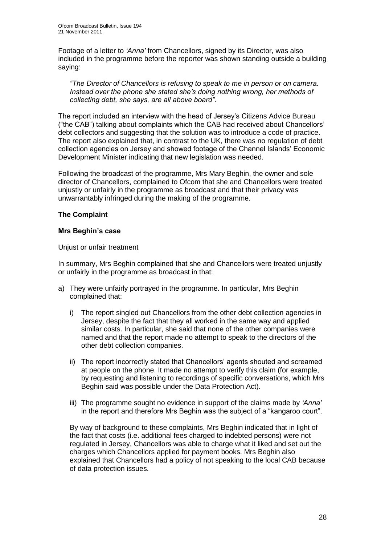Footage of a letter to *"Anna"* from Chancellors, signed by its Director, was also included in the programme before the reporter was shown standing outside a building saying:

*"The Director of Chancellors is refusing to speak to me in person or on camera. Instead over the phone she stated she"s doing nothing wrong, her methods of collecting debt, she says, are all above board"*.

The report included an interview with the head of Jersey"s Citizens Advice Bureau ("the CAB") talking about complaints which the CAB had received about Chancellors" debt collectors and suggesting that the solution was to introduce a code of practice. The report also explained that, in contrast to the UK, there was no regulation of debt collection agencies on Jersey and showed footage of the Channel Islands" Economic Development Minister indicating that new legislation was needed.

Following the broadcast of the programme, Mrs Mary Beghin, the owner and sole director of Chancellors, complained to Ofcom that she and Chancellors were treated unjustly or unfairly in the programme as broadcast and that their privacy was unwarrantably infringed during the making of the programme.

#### **The Complaint**

#### **Mrs Beghin's case**

#### Unjust or unfair treatment

In summary, Mrs Beghin complained that she and Chancellors were treated unjustly or unfairly in the programme as broadcast in that:

- a) They were unfairly portrayed in the programme. In particular, Mrs Beghin complained that:
	- i) The report singled out Chancellors from the other debt collection agencies in Jersey, despite the fact that they all worked in the same way and applied similar costs. In particular, she said that none of the other companies were named and that the report made no attempt to speak to the directors of the other debt collection companies.
	- ii) The report incorrectly stated that Chancellors' agents shouted and screamed at people on the phone. It made no attempt to verify this claim (for example, by requesting and listening to recordings of specific conversations, which Mrs Beghin said was possible under the Data Protection Act).
	- iii) The programme sought no evidence in support of the claims made by *"Anna"*  in the report and therefore Mrs Beghin was the subject of a "kangaroo court".

By way of background to these complaints, Mrs Beghin indicated that in light of the fact that costs (i.e. additional fees charged to indebted persons) were not regulated in Jersey, Chancellors was able to charge what it liked and set out the charges which Chancellors applied for payment books. Mrs Beghin also explained that Chancellors had a policy of not speaking to the local CAB because of data protection issues.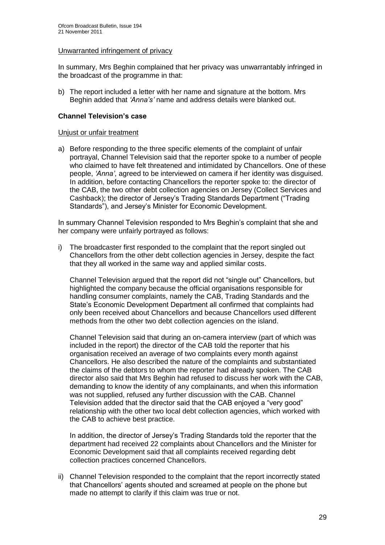#### Unwarranted infringement of privacy

In summary, Mrs Beghin complained that her privacy was unwarrantably infringed in the broadcast of the programme in that:

b) The report included a letter with her name and signature at the bottom. Mrs Beghin added that *"Anna"s"* name and address details were blanked out.

#### **Channel Television's case**

#### Uniust or unfair treatment

a) Before responding to the three specific elements of the complaint of unfair portrayal, Channel Television said that the reporter spoke to a number of people who claimed to have felt threatened and intimidated by Chancellors. One of these people, *"Anna"*, agreed to be interviewed on camera if her identity was disguised. In addition, before contacting Chancellors the reporter spoke to: the director of the CAB, the two other debt collection agencies on Jersey (Collect Services and Cashback); the director of Jersey"s Trading Standards Department ("Trading Standards"), and Jersey's Minister for Economic Development.

In summary Channel Television responded to Mrs Beghin"s complaint that she and her company were unfairly portrayed as follows:

i) The broadcaster first responded to the complaint that the report singled out Chancellors from the other debt collection agencies in Jersey, despite the fact that they all worked in the same way and applied similar costs.

Channel Television argued that the report did not "single out" Chancellors, but highlighted the company because the official organisations responsible for handling consumer complaints, namely the CAB, Trading Standards and the State"s Economic Development Department all confirmed that complaints had only been received about Chancellors and because Chancellors used different methods from the other two debt collection agencies on the island.

Channel Television said that during an on-camera interview (part of which was included in the report) the director of the CAB told the reporter that his organisation received an average of two complaints every month against Chancellors. He also described the nature of the complaints and substantiated the claims of the debtors to whom the reporter had already spoken. The CAB director also said that Mrs Beghin had refused to discuss her work with the CAB, demanding to know the identity of any complainants, and when this information was not supplied, refused any further discussion with the CAB. Channel Television added that the director said that the CAB enjoyed a "very good" relationship with the other two local debt collection agencies, which worked with the CAB to achieve best practice.

In addition, the director of Jersey"s Trading Standards told the reporter that the department had received 22 complaints about Chancellors and the Minister for Economic Development said that all complaints received regarding debt collection practices concerned Chancellors.

ii) Channel Television responded to the complaint that the report incorrectly stated that Chancellors" agents shouted and screamed at people on the phone but made no attempt to clarify if this claim was true or not.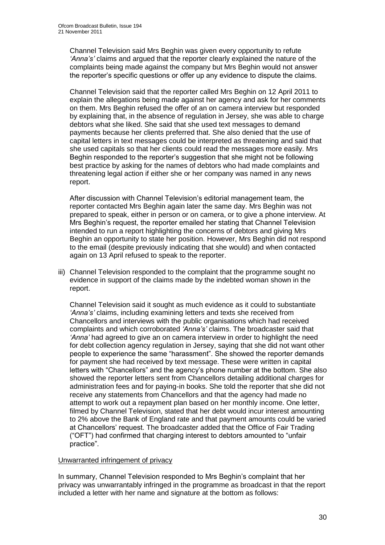Channel Television said Mrs Beghin was given every opportunity to refute *"Anna"s"* claims and argued that the reporter clearly explained the nature of the complaints being made against the company but Mrs Beghin would not answer the reporter"s specific questions or offer up any evidence to dispute the claims.

Channel Television said that the reporter called Mrs Beghin on 12 April 2011 to explain the allegations being made against her agency and ask for her comments on them. Mrs Beghin refused the offer of an on camera interview but responded by explaining that, in the absence of regulation in Jersey, she was able to charge debtors what she liked. She said that she used text messages to demand payments because her clients preferred that. She also denied that the use of capital letters in text messages could be interpreted as threatening and said that she used capitals so that her clients could read the messages more easily. Mrs Beghin responded to the reporter"s suggestion that she might not be following best practice by asking for the names of debtors who had made complaints and threatening legal action if either she or her company was named in any news report.

After discussion with Channel Television"s editorial management team, the reporter contacted Mrs Beghin again later the same day. Mrs Beghin was not prepared to speak, either in person or on camera, or to give a phone interview. At Mrs Beghin"s request, the reporter emailed her stating that Channel Television intended to run a report highlighting the concerns of debtors and giving Mrs Beghin an opportunity to state her position. However, Mrs Beghin did not respond to the email (despite previously indicating that she would) and when contacted again on 13 April refused to speak to the reporter.

iii) Channel Television responded to the complaint that the programme sought no evidence in support of the claims made by the indebted woman shown in the report.

Channel Television said it sought as much evidence as it could to substantiate *"Anna"s"* claims, including examining letters and texts she received from Chancellors and interviews with the public organisations which had received complaints and which corroborated *"Anna"s"* claims. The broadcaster said that *"Anna"* had agreed to give an on camera interview in order to highlight the need for debt collection agency regulation in Jersey, saying that she did not want other people to experience the same "harassment". She showed the reporter demands for payment she had received by text message. These were written in capital letters with "Chancellors" and the agency"s phone number at the bottom. She also showed the reporter letters sent from Chancellors detailing additional charges for administration fees and for paying-in books. She told the reporter that she did not receive any statements from Chancellors and that the agency had made no attempt to work out a repayment plan based on her monthly income. One letter, filmed by Channel Television, stated that her debt would incur interest amounting to 2% above the Bank of England rate and that payment amounts could be varied at Chancellors" request. The broadcaster added that the Office of Fair Trading ("OFT") had confirmed that charging interest to debtors amounted to "unfair practice".

#### Unwarranted infringement of privacy

In summary, Channel Television responded to Mrs Beghin"s complaint that her privacy was unwarrantably infringed in the programme as broadcast in that the report included a letter with her name and signature at the bottom as follows: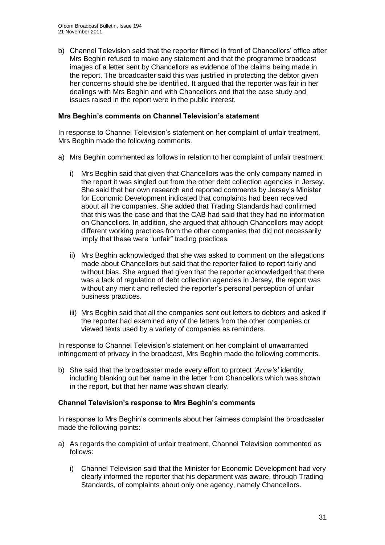b) Channel Television said that the reporter filmed in front of Chancellors" office after Mrs Beghin refused to make any statement and that the programme broadcast images of a letter sent by Chancellors as evidence of the claims being made in the report. The broadcaster said this was justified in protecting the debtor given her concerns should she be identified. It argued that the reporter was fair in her dealings with Mrs Beghin and with Chancellors and that the case study and issues raised in the report were in the public interest.

#### **Mrs Beghin's comments on Channel Television's statement**

In response to Channel Television"s statement on her complaint of unfair treatment, Mrs Beghin made the following comments.

- a) Mrs Beghin commented as follows in relation to her complaint of unfair treatment:
	- i) Mrs Beghin said that given that Chancellors was the only company named in the report it was singled out from the other debt collection agencies in Jersey. She said that her own research and reported comments by Jersey"s Minister for Economic Development indicated that complaints had been received about all the companies. She added that Trading Standards had confirmed that this was the case and that the CAB had said that they had no information on Chancellors. In addition, she argued that although Chancellors may adopt different working practices from the other companies that did not necessarily imply that these were "unfair" trading practices.
	- ii) Mrs Beghin acknowledged that she was asked to comment on the allegations made about Chancellors but said that the reporter failed to report fairly and without bias. She argued that given that the reporter acknowledged that there was a lack of regulation of debt collection agencies in Jersey, the report was without any merit and reflected the reporter's personal perception of unfair business practices.
	- iii) Mrs Beghin said that all the companies sent out letters to debtors and asked if the reporter had examined any of the letters from the other companies or viewed texts used by a variety of companies as reminders.

In response to Channel Television"s statement on her complaint of unwarranted infringement of privacy in the broadcast, Mrs Beghin made the following comments.

b) She said that the broadcaster made every effort to protect *"Anna"s"* identity, including blanking out her name in the letter from Chancellors which was shown in the report, but that her name was shown clearly.

#### **Channel Television's response to Mrs Beghin's comments**

In response to Mrs Beghin"s comments about her fairness complaint the broadcaster made the following points:

- a) As regards the complaint of unfair treatment, Channel Television commented as follows:
	- i) Channel Television said that the Minister for Economic Development had very clearly informed the reporter that his department was aware, through Trading Standards, of complaints about only one agency, namely Chancellors.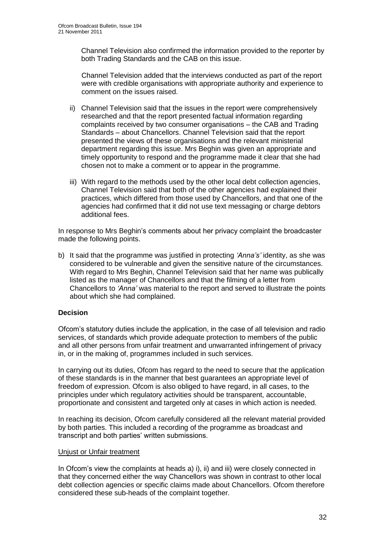Channel Television also confirmed the information provided to the reporter by both Trading Standards and the CAB on this issue.

Channel Television added that the interviews conducted as part of the report were with credible organisations with appropriate authority and experience to comment on the issues raised.

- ii) Channel Television said that the issues in the report were comprehensively researched and that the report presented factual information regarding complaints received by two consumer organisations – the CAB and Trading Standards – about Chancellors. Channel Television said that the report presented the views of these organisations and the relevant ministerial department regarding this issue. Mrs Beghin was given an appropriate and timely opportunity to respond and the programme made it clear that she had chosen not to make a comment or to appear in the programme.
- iii) With regard to the methods used by the other local debt collection agencies, Channel Television said that both of the other agencies had explained their practices, which differed from those used by Chancellors, and that one of the agencies had confirmed that it did not use text messaging or charge debtors additional fees.

In response to Mrs Beghin"s comments about her privacy complaint the broadcaster made the following points.

b) It said that the programme was justified in protecting *"Anna"s"* identity, as she was considered to be vulnerable and given the sensitive nature of the circumstances. With regard to Mrs Beghin, Channel Television said that her name was publically listed as the manager of Chancellors and that the filming of a letter from Chancellors to *"Anna"* was material to the report and served to illustrate the points about which she had complained.

#### **Decision**

Ofcom"s statutory duties include the application, in the case of all television and radio services, of standards which provide adequate protection to members of the public and all other persons from unfair treatment and unwarranted infringement of privacy in, or in the making of, programmes included in such services.

In carrying out its duties, Ofcom has regard to the need to secure that the application of these standards is in the manner that best guarantees an appropriate level of freedom of expression. Ofcom is also obliged to have regard, in all cases, to the principles under which regulatory activities should be transparent, accountable, proportionate and consistent and targeted only at cases in which action is needed.

In reaching its decision, Ofcom carefully considered all the relevant material provided by both parties. This included a recording of the programme as broadcast and transcript and both parties" written submissions.

#### Unjust or Unfair treatment

In Ofcom"s view the complaints at heads a) i), ii) and iii) were closely connected in that they concerned either the way Chancellors was shown in contrast to other local debt collection agencies or specific claims made about Chancellors. Ofcom therefore considered these sub-heads of the complaint together.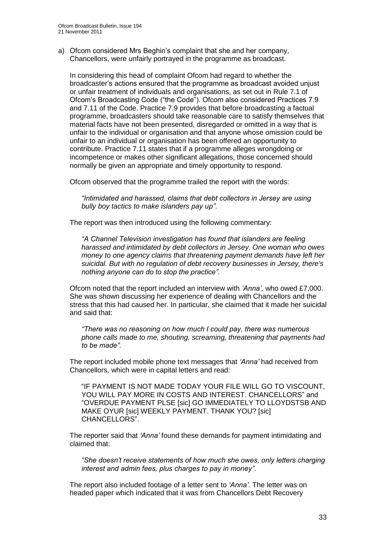a) Ofcom considered Mrs Beghin"s complaint that she and her company, Chancellors, were unfairly portrayed in the programme as broadcast.

In considering this head of complaint Ofcom had regard to whether the broadcaster"s actions ensured that the programme as broadcast avoided unjust or unfair treatment of individuals and organisations, as set out in Rule 7.1 of Ofcom"s Broadcasting Code ("the Code"). Ofcom also considered Practices 7.9 and 7.11 of the Code. Practice 7.9 provides that before broadcasting a factual programme, broadcasters should take reasonable care to satisfy themselves that material facts have not been presented, disregarded or omitted in a way that is unfair to the individual or organisation and that anyone whose omission could be unfair to an individual or organisation has been offered an opportunity to contribute. Practice 7.11 states that if a programme alleges wrongdoing or incompetence or makes other significant allegations, those concerned should normally be given an appropriate and timely opportunity to respond.

Ofcom observed that the programme trailed the report with the words:

*"Intimidated and harassed, claims that debt collectors in Jersey are using bully boy tactics to make islanders pay up"*.

The report was then introduced using the following commentary:

*"A Channel Television investigation has found that islanders are feeling harassed and intimidated by debt collectors in Jersey. One woman who owes money to one agency claims that threatening payment demands have left her suicidal. But with no regulation of debt recovery businesses in Jersey, there's nothing anyone can do to stop the practice".*

Ofcom noted that the report included an interview with *"Anna",* who owed £7,000. She was shown discussing her experience of dealing with Chancellors and the stress that this had caused her. In particular, she claimed that it made her suicidal and said that:

*"There was no reasoning on how much I could pay, there was numerous phone calls made to me, shouting, screaming, threatening that payments had to be made".* 

The report included mobile phone text messages that *"Anna"* had received from Chancellors, which were in capital letters and read:

"IF PAYMENT IS NOT MADE TODAY YOUR FILE WILL GO TO VISCOUNT, YOU WILL PAY MORE IN COSTS AND INTEREST. CHANCELLORS" and "OVERDUE PAYMENT PLSE [sic] GO IMMEDIATELY TO LLOYDSTSB AND MAKE OYUR [sic] WEEKLY PAYMENT. THANK YOU? [sic] CHANCELLORS".

The reporter said that *"Anna"* found these demands for payment intimidating and claimed that:

*"She doesn"t receive statements of how much she owes, only letters charging interest and admin fees, plus charges to pay in money"*.

The report also included footage of a letter sent to *"Anna"*. The letter was on headed paper which indicated that it was from Chancellors Debt Recovery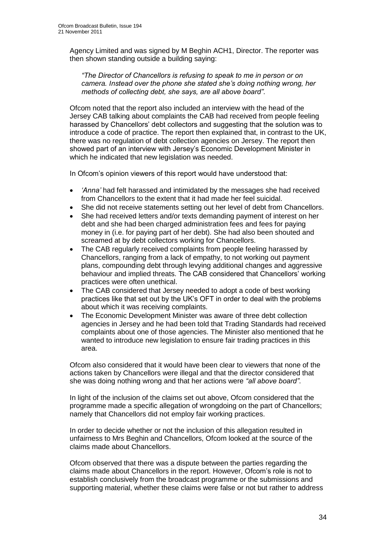Agency Limited and was signed by M Beghin ACH1, Director. The reporter was then shown standing outside a building saying:

*"The Director of Chancellors is refusing to speak to me in person or on camera. Instead over the phone she stated she"s doing nothing wrong, her methods of collecting debt, she says, are all above board"*.

Ofcom noted that the report also included an interview with the head of the Jersey CAB talking about complaints the CAB had received from people feeling harassed by Chancellors" debt collectors and suggesting that the solution was to introduce a code of practice. The report then explained that, in contrast to the UK, there was no regulation of debt collection agencies on Jersey. The report then showed part of an interview with Jersey"s Economic Development Minister in which he indicated that new legislation was needed.

In Ofcom's opinion viewers of this report would have understood that:

- *"Anna"* had felt harassed and intimidated by the messages she had received from Chancellors to the extent that it had made her feel suicidal.
- She did not receive statements setting out her level of debt from Chancellors.
- She had received letters and/or texts demanding payment of interest on her debt and she had been charged administration fees and fees for paying money in (i.e. for paying part of her debt). She had also been shouted and screamed at by debt collectors working for Chancellors.
- The CAB regularly received complaints from people feeling harassed by Chancellors, ranging from a lack of empathy, to not working out payment plans, compounding debt through levying additional changes and aggressive behaviour and implied threats. The CAB considered that Chancellors' working practices were often unethical.
- The CAB considered that Jersey needed to adopt a code of best working practices like that set out by the UK"s OFT in order to deal with the problems about which it was receiving complaints.
- The Economic Development Minister was aware of three debt collection agencies in Jersey and he had been told that Trading Standards had received complaints about one of those agencies. The Minister also mentioned that he wanted to introduce new legislation to ensure fair trading practices in this area.

Ofcom also considered that it would have been clear to viewers that none of the actions taken by Chancellors were illegal and that the director considered that she was doing nothing wrong and that her actions were *"all above board"*.

In light of the inclusion of the claims set out above, Ofcom considered that the programme made a specific allegation of wrongdoing on the part of Chancellors; namely that Chancellors did not employ fair working practices.

In order to decide whether or not the inclusion of this allegation resulted in unfairness to Mrs Beghin and Chancellors, Ofcom looked at the source of the claims made about Chancellors.

Ofcom observed that there was a dispute between the parties regarding the claims made about Chancellors in the report. However, Ofcom"s role is not to establish conclusively from the broadcast programme or the submissions and supporting material, whether these claims were false or not but rather to address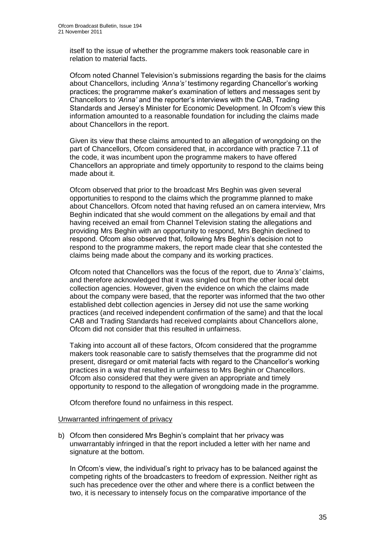itself to the issue of whether the programme makers took reasonable care in relation to material facts.

Ofcom noted Channel Television"s submissions regarding the basis for the claims about Chancellors, including *"Anna"s"* testimony regarding Chancellor"s working practices; the programme maker"s examination of letters and messages sent by Chancellors to *"Anna"* and the reporter"s interviews with the CAB, Trading Standards and Jersey"s Minister for Economic Development. In Ofcom"s view this information amounted to a reasonable foundation for including the claims made about Chancellors in the report.

Given its view that these claims amounted to an allegation of wrongdoing on the part of Chancellors, Ofcom considered that, in accordance with practice 7.11 of the code, it was incumbent upon the programme makers to have offered Chancellors an appropriate and timely opportunity to respond to the claims being made about it.

Ofcom observed that prior to the broadcast Mrs Beghin was given several opportunities to respond to the claims which the programme planned to make about Chancellors. Ofcom noted that having refused an on camera interview, Mrs Beghin indicated that she would comment on the allegations by email and that having received an email from Channel Television stating the allegations and providing Mrs Beghin with an opportunity to respond, Mrs Beghin declined to respond. Ofcom also observed that, following Mrs Beghin"s decision not to respond to the programme makers, the report made clear that she contested the claims being made about the company and its working practices.

Ofcom noted that Chancellors was the focus of the report, due to *"Anna"s"* claims, and therefore acknowledged that it was singled out from the other local debt collection agencies. However, given the evidence on which the claims made about the company were based, that the reporter was informed that the two other established debt collection agencies in Jersey did not use the same working practices (and received independent confirmation of the same) and that the local CAB and Trading Standards had received complaints about Chancellors alone, Ofcom did not consider that this resulted in unfairness.

Taking into account all of these factors, Ofcom considered that the programme makers took reasonable care to satisfy themselves that the programme did not present, disregard or omit material facts with regard to the Chancellor"s working practices in a way that resulted in unfairness to Mrs Beghin or Chancellors. Ofcom also considered that they were given an appropriate and timely opportunity to respond to the allegation of wrongdoing made in the programme.

Ofcom therefore found no unfairness in this respect.

#### Unwarranted infringement of privacy

b) Ofcom then considered Mrs Beghin"s complaint that her privacy was unwarrantably infringed in that the report included a letter with her name and signature at the bottom.

In Ofcom"s view, the individual"s right to privacy has to be balanced against the competing rights of the broadcasters to freedom of expression. Neither right as such has precedence over the other and where there is a conflict between the two, it is necessary to intensely focus on the comparative importance of the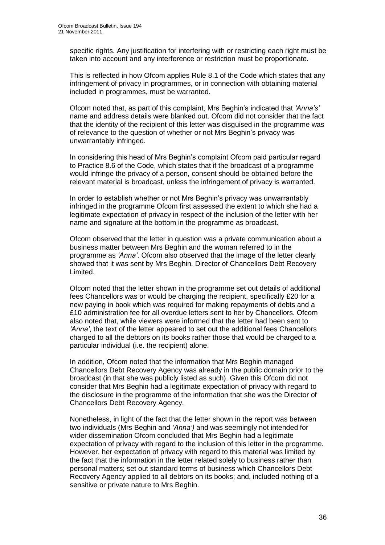specific rights. Any justification for interfering with or restricting each right must be taken into account and any interference or restriction must be proportionate.

This is reflected in how Ofcom applies Rule 8.1 of the Code which states that any infringement of privacy in programmes, or in connection with obtaining material included in programmes, must be warranted.

Ofcom noted that, as part of this complaint, Mrs Beghin"s indicated that *"Anna"s"*  name and address details were blanked out. Ofcom did not consider that the fact that the identity of the recipient of this letter was disguised in the programme was of relevance to the question of whether or not Mrs Beghin"s privacy was unwarrantably infringed.

In considering this head of Mrs Beghin"s complaint Ofcom paid particular regard to Practice 8.6 of the Code, which states that if the broadcast of a programme would infringe the privacy of a person, consent should be obtained before the relevant material is broadcast, unless the infringement of privacy is warranted.

In order to establish whether or not Mrs Beghin"s privacy was unwarrantably infringed in the programme Ofcom first assessed the extent to which she had a legitimate expectation of privacy in respect of the inclusion of the letter with her name and signature at the bottom in the programme as broadcast.

Ofcom observed that the letter in question was a private communication about a business matter between Mrs Beghin and the woman referred to in the programme as *"Anna"*. Ofcom also observed that the image of the letter clearly showed that it was sent by Mrs Beghin, Director of Chancellors Debt Recovery Limited.

Ofcom noted that the letter shown in the programme set out details of additional fees Chancellors was or would be charging the recipient, specifically £20 for a new paying in book which was required for making repayments of debts and a £10 administration fee for all overdue letters sent to her by Chancellors. Ofcom also noted that, while viewers were informed that the letter had been sent to 'Anna', the text of the letter appeared to set out the additional fees Chancellors charged to all the debtors on its books rather those that would be charged to a particular individual (i.e. the recipient) alone.

In addition, Ofcom noted that the information that Mrs Beghin managed Chancellors Debt Recovery Agency was already in the public domain prior to the broadcast (in that she was publicly listed as such). Given this Ofcom did not consider that Mrs Beghin had a legitimate expectation of privacy with regard to the disclosure in the programme of the information that she was the Director of Chancellors Debt Recovery Agency.

Nonetheless, in light of the fact that the letter shown in the report was between two individuals (Mrs Beghin and *"Anna")* and was seemingly not intended for wider dissemination Ofcom concluded that Mrs Beghin had a legitimate expectation of privacy with regard to the inclusion of this letter in the programme. However, her expectation of privacy with regard to this material was limited by the fact that the information in the letter related solely to business rather than personal matters; set out standard terms of business which Chancellors Debt Recovery Agency applied to all debtors on its books; and, included nothing of a sensitive or private nature to Mrs Beghin.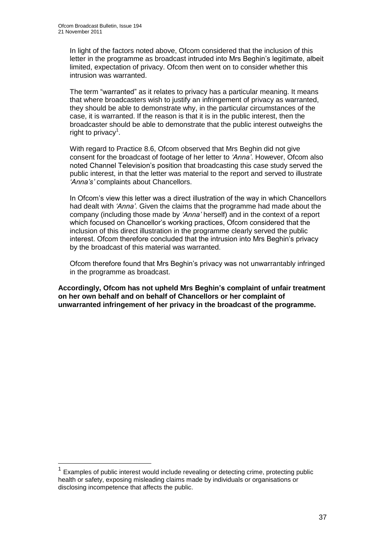1

In light of the factors noted above, Ofcom considered that the inclusion of this letter in the programme as broadcast intruded into Mrs Beghin"s legitimate, albeit limited, expectation of privacy. Ofcom then went on to consider whether this intrusion was warranted.

The term "warranted" as it relates to privacy has a particular meaning. It means that where broadcasters wish to justify an infringement of privacy as warranted, they should be able to demonstrate why, in the particular circumstances of the case, it is warranted. If the reason is that it is in the public interest, then the broadcaster should be able to demonstrate that the public interest outweighs the right to privacy<sup>1</sup>.

With regard to Practice 8.6, Ofcom observed that Mrs Beghin did not give consent for the broadcast of footage of her letter to *"Anna"*. However, Ofcom also noted Channel Television"s position that broadcasting this case study served the public interest, in that the letter was material to the report and served to illustrate *"Anna"s"* complaints about Chancellors.

In Ofcom"s view this letter was a direct illustration of the way in which Chancellors had dealt with *"Anna"*. Given the claims that the programme had made about the company (including those made by *"Anna"* herself) and in the context of a report which focused on Chancellor's working practices, Ofcom considered that the inclusion of this direct illustration in the programme clearly served the public interest. Ofcom therefore concluded that the intrusion into Mrs Beghin"s privacy by the broadcast of this material was warranted.

Ofcom therefore found that Mrs Beghin"s privacy was not unwarrantably infringed in the programme as broadcast.

**Accordingly, Ofcom has not upheld Mrs Beghin's complaint of unfair treatment on her own behalf and on behalf of Chancellors or her complaint of unwarranted infringement of her privacy in the broadcast of the programme.** 

<sup>1</sup> Examples of public interest would include revealing or detecting crime, protecting public health or safety, exposing misleading claims made by individuals or organisations or disclosing incompetence that affects the public.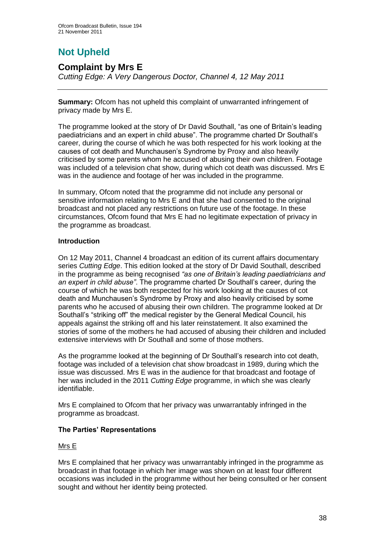# **Not Upheld**

## **Complaint by Mrs E**

*Cutting Edge: A Very Dangerous Doctor, Channel 4, 12 May 2011*

**Summary:** Ofcom has not upheld this complaint of unwarranted infringement of privacy made by Mrs E.

The programme looked at the story of Dr David Southall, "as one of Britain"s leading paediatricians and an expert in child abuse". The programme charted Dr Southall"s career, during the course of which he was both respected for his work looking at the causes of cot death and Munchausen"s Syndrome by Proxy and also heavily criticised by some parents whom he accused of abusing their own children. Footage was included of a television chat show, during which cot death was discussed. Mrs E was in the audience and footage of her was included in the programme.

In summary, Ofcom noted that the programme did not include any personal or sensitive information relating to Mrs E and that she had consented to the original broadcast and not placed any restrictions on future use of the footage. In these circumstances, Ofcom found that Mrs E had no legitimate expectation of privacy in the programme as broadcast.

#### **Introduction**

On 12 May 2011, Channel 4 broadcast an edition of its current affairs documentary series *Cutting Edge*. This edition looked at the story of Dr David Southall, described in the programme as being recognised *"as one of Britain"s leading paediatricians and an expert in child abuse"*. The programme charted Dr Southall"s career, during the course of which he was both respected for his work looking at the causes of cot death and Munchausen"s Syndrome by Proxy and also heavily criticised by some parents who he accused of abusing their own children. The programme looked at Dr Southall"s "striking off" the medical register by the General Medical Council, his appeals against the striking off and his later reinstatement. It also examined the stories of some of the mothers he had accused of abusing their children and included extensive interviews with Dr Southall and some of those mothers.

As the programme looked at the beginning of Dr Southall"s research into cot death, footage was included of a television chat show broadcast in 1989, during which the issue was discussed. Mrs E was in the audience for that broadcast and footage of her was included in the 2011 *Cutting Edge* programme, in which she was clearly identifiable.

Mrs E complained to Ofcom that her privacy was unwarrantably infringed in the programme as broadcast.

#### **The Parties' Representations**

#### Mrs E

Mrs E complained that her privacy was unwarrantably infringed in the programme as broadcast in that footage in which her image was shown on at least four different occasions was included in the programme without her being consulted or her consent sought and without her identity being protected.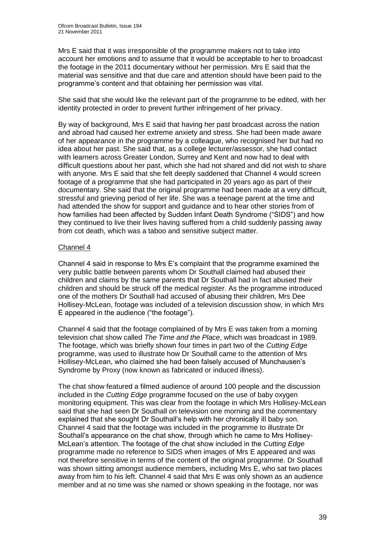Mrs E said that it was irresponsible of the programme makers not to take into account her emotions and to assume that it would be acceptable to her to broadcast the footage in the 2011 documentary without her permission. Mrs E said that the material was sensitive and that due care and attention should have been paid to the programme"s content and that obtaining her permission was vital.

She said that she would like the relevant part of the programme to be edited, with her identity protected in order to prevent further infringement of her privacy.

By way of background, Mrs E said that having her past broadcast across the nation and abroad had caused her extreme anxiety and stress. She had been made aware of her appearance in the programme by a colleague, who recognised her but had no idea about her past. She said that, as a college lecturer/assessor, she had contact with learners across Greater London, Surrey and Kent and now had to deal with difficult questions about her past, which she had not shared and did not wish to share with anyone. Mrs E said that she felt deeply saddened that Channel 4 would screen footage of a programme that she had participated in 20 years ago as part of their documentary. She said that the original programme had been made at a very difficult, stressful and grieving period of her life. She was a teenage parent at the time and had attended the show for support and guidance and to hear other stories from of how families had been affected by Sudden Infant Death Syndrome ("SIDS") and how they continued to live their lives having suffered from a child suddenly passing away from cot death, which was a taboo and sensitive subject matter.

#### Channel 4

Channel 4 said in response to Mrs E"s complaint that the programme examined the very public battle between parents whom Dr Southall claimed had abused their children and claims by the same parents that Dr Southall had in fact abused their children and should be struck off the medical register. As the programme introduced one of the mothers Dr Southall had accused of abusing their children, Mrs Dee Hollisey-McLean, footage was included of a television discussion show, in which Mrs E appeared in the audience ("the footage").

Channel 4 said that the footage complained of by Mrs E was taken from a morning television chat show called *The Time and the Place*, which was broadcast in 1989. The footage, which was briefly shown four times in part two of the *Cutting Edge*  programme, was used to illustrate how Dr Southall came to the attention of Mrs Hollisey-McLean, who claimed she had been falsely accused of Munchausen"s Syndrome by Proxy (now known as fabricated or induced illness).

The chat show featured a filmed audience of around 100 people and the discussion included in the *Cutting Edge* programme focused on the use of baby oxygen monitoring equipment. This was clear from the footage in which Mrs Hollisey-McLean said that she had seen Dr Southall on television one morning and the commentary explained that she sought Dr Southall"s help with her chronically ill baby son. Channel 4 said that the footage was included in the programme to illustrate Dr Southall"s appearance on the chat show, through which he came to Mrs Hollisey-McLean"s attention. The footage of the chat show included in the *Cutting Edge*  programme made no reference to SIDS when images of Mrs E appeared and was not therefore sensitive in terms of the content of the original programme. Dr Southall was shown sitting amongst audience members, including Mrs E, who sat two places away from him to his left. Channel 4 said that Mrs E was only shown as an audience member and at no time was she named or shown speaking in the footage, nor was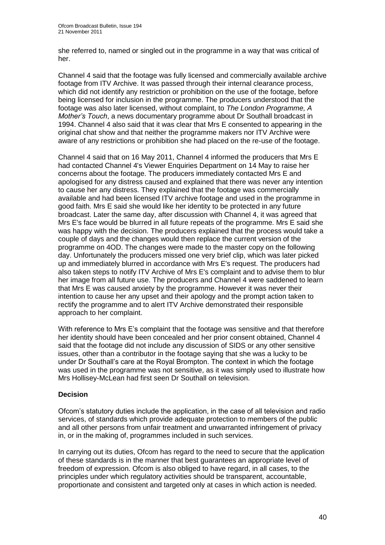she referred to, named or singled out in the programme in a way that was critical of her.

Channel 4 said that the footage was fully licensed and commercially available archive footage from ITV Archive. It was passed through their internal clearance process, which did not identify any restriction or prohibition on the use of the footage, before being licensed for inclusion in the programme. The producers understood that the footage was also later licensed, without complaint, to *The London Programme, A Mother"s Touch*, a news documentary programme about Dr Southall broadcast in 1994. Channel 4 also said that it was clear that Mrs E consented to appearing in the original chat show and that neither the programme makers nor ITV Archive were aware of any restrictions or prohibition she had placed on the re-use of the footage.

Channel 4 said that on 16 May 2011, Channel 4 informed the producers that Mrs E had contacted Channel 4's Viewer Enquiries Department on 14 May to raise her concerns about the footage. The producers immediately contacted Mrs E and apologised for any distress caused and explained that there was never any intention to cause her any distress. They explained that the footage was commercially available and had been licensed ITV archive footage and used in the programme in good faith. Mrs E said she would like her identity to be protected in any future broadcast. Later the same day, after discussion with Channel 4, it was agreed that Mrs E's face would be blurred in all future repeats of the programme. Mrs E said she was happy with the decision. The producers explained that the process would take a couple of days and the changes would then replace the current version of the programme on 4OD. The changes were made to the master copy on the following day. Unfortunately the producers missed one very brief clip, which was later picked up and immediately blurred in accordance with Mrs E's request. The producers had also taken steps to notify ITV Archive of Mrs E's complaint and to advise them to blur her image from all future use. The producers and Channel 4 were saddened to learn that Mrs E was caused anxiety by the programme. However it was never their intention to cause her any upset and their apology and the prompt action taken to rectify the programme and to alert ITV Archive demonstrated their responsible approach to her complaint.

With reference to Mrs E's complaint that the footage was sensitive and that therefore her identity should have been concealed and her prior consent obtained, Channel 4 said that the footage did not include any discussion of SIDS or any other sensitive issues, other than a contributor in the footage saying that she was a lucky to be under Dr Southall"s care at the Royal Brompton. The context in which the footage was used in the programme was not sensitive, as it was simply used to illustrate how Mrs Hollisey-McLean had first seen Dr Southall on television.

#### **Decision**

Ofcom"s statutory duties include the application, in the case of all television and radio services, of standards which provide adequate protection to members of the public and all other persons from unfair treatment and unwarranted infringement of privacy in, or in the making of, programmes included in such services.

In carrying out its duties, Ofcom has regard to the need to secure that the application of these standards is in the manner that best guarantees an appropriate level of freedom of expression. Ofcom is also obliged to have regard, in all cases, to the principles under which regulatory activities should be transparent, accountable, proportionate and consistent and targeted only at cases in which action is needed.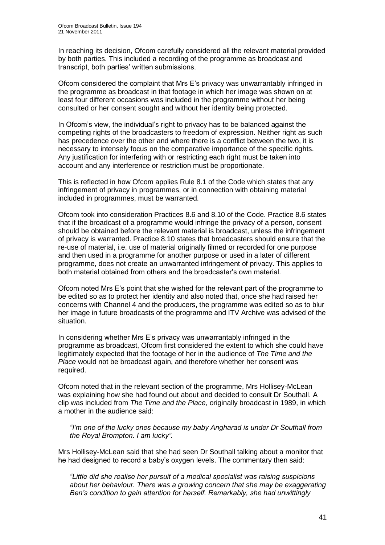In reaching its decision, Ofcom carefully considered all the relevant material provided by both parties. This included a recording of the programme as broadcast and transcript, both parties" written submissions.

Ofcom considered the complaint that Mrs E"s privacy was unwarrantably infringed in the programme as broadcast in that footage in which her image was shown on at least four different occasions was included in the programme without her being consulted or her consent sought and without her identity being protected.

In Ofcom's view, the individual's right to privacy has to be balanced against the competing rights of the broadcasters to freedom of expression. Neither right as such has precedence over the other and where there is a conflict between the two, it is necessary to intensely focus on the comparative importance of the specific rights. Any justification for interfering with or restricting each right must be taken into account and any interference or restriction must be proportionate.

This is reflected in how Ofcom applies Rule 8.1 of the Code which states that any infringement of privacy in programmes, or in connection with obtaining material included in programmes, must be warranted.

Ofcom took into consideration Practices 8.6 and 8.10 of the Code. Practice 8.6 states that if the broadcast of a programme would infringe the privacy of a person, consent should be obtained before the relevant material is broadcast, unless the infringement of privacy is warranted. Practice 8.10 states that broadcasters should ensure that the re-use of material, i.e. use of material originally filmed or recorded for one purpose and then used in a programme for another purpose or used in a later of different programme, does not create an unwarranted infringement of privacy. This applies to both material obtained from others and the broadcaster's own material.

Ofcom noted Mrs E"s point that she wished for the relevant part of the programme to be edited so as to protect her identity and also noted that, once she had raised her concerns with Channel 4 and the producers, the programme was edited so as to blur her image in future broadcasts of the programme and ITV Archive was advised of the situation.

In considering whether Mrs E"s privacy was unwarrantably infringed in the programme as broadcast, Ofcom first considered the extent to which she could have legitimately expected that the footage of her in the audience of *The Time and the Place* would not be broadcast again, and therefore whether her consent was required.

Ofcom noted that in the relevant section of the programme, Mrs Hollisey-McLean was explaining how she had found out about and decided to consult Dr Southall. A clip was included from *The Time and the Place*, originally broadcast in 1989, in which a mother in the audience said:

*"I"m one of the lucky ones because my baby Angharad is under Dr Southall from the Royal Brompton. I am lucky".* 

Mrs Hollisey-McLean said that she had seen Dr Southall talking about a monitor that he had designed to record a baby"s oxygen levels. The commentary then said:

*"Little did she realise her pursuit of a medical specialist was raising suspicions about her behaviour. There was a growing concern that she may be exaggerating Ben"s condition to gain attention for herself. Remarkably, she had unwittingly*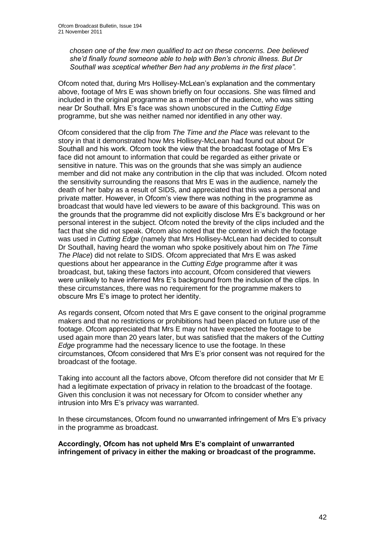*chosen one of the few men qualified to act on these concerns. Dee believed she"d finally found someone able to help with Ben"s chronic illness. But Dr Southall was sceptical whether Ben had any problems in the first place".* 

Ofcom noted that, during Mrs Hollisey-McLean"s explanation and the commentary above, footage of Mrs E was shown briefly on four occasions. She was filmed and included in the original programme as a member of the audience, who was sitting near Dr Southall. Mrs E"s face was shown unobscured in the *Cutting Edge*  programme, but she was neither named nor identified in any other way.

Ofcom considered that the clip from *The Time and the Place* was relevant to the story in that it demonstrated how Mrs Hollisey-McLean had found out about Dr Southall and his work. Ofcom took the view that the broadcast footage of Mrs E"s face did not amount to information that could be regarded as either private or sensitive in nature. This was on the grounds that she was simply an audience member and did not make any contribution in the clip that was included. Ofcom noted the sensitivity surrounding the reasons that Mrs E was in the audience, namely the death of her baby as a result of SIDS, and appreciated that this was a personal and private matter. However, in Ofcom"s view there was nothing in the programme as broadcast that would have led viewers to be aware of this background. This was on the grounds that the programme did not explicitly disclose Mrs E"s background or her personal interest in the subject. Ofcom noted the brevity of the clips included and the fact that she did not speak. Ofcom also noted that the context in which the footage was used in *Cutting Edge* (namely that Mrs Hollisey-McLean had decided to consult Dr Southall, having heard the woman who spoke positively about him on *The Time The Place*) did not relate to SIDS. Ofcom appreciated that Mrs E was asked questions about her appearance in the *Cutting Edge* programme after it was broadcast, but, taking these factors into account, Ofcom considered that viewers were unlikely to have inferred Mrs E"s background from the inclusion of the clips. In these circumstances, there was no requirement for the programme makers to obscure Mrs E"s image to protect her identity.

As regards consent, Ofcom noted that Mrs E gave consent to the original programme makers and that no restrictions or prohibitions had been placed on future use of the footage. Ofcom appreciated that Mrs E may not have expected the footage to be used again more than 20 years later, but was satisfied that the makers of the *Cutting Edge* programme had the necessary licence to use the footage. In these circumstances, Ofcom considered that Mrs E"s prior consent was not required for the broadcast of the footage.

Taking into account all the factors above, Ofcom therefore did not consider that Mr E had a legitimate expectation of privacy in relation to the broadcast of the footage. Given this conclusion it was not necessary for Ofcom to consider whether any intrusion into Mrs E"s privacy was warranted.

In these circumstances, Ofcom found no unwarranted infringement of Mrs E"s privacy in the programme as broadcast.

#### **Accordingly, Ofcom has not upheld Mrs E's complaint of unwarranted infringement of privacy in either the making or broadcast of the programme.**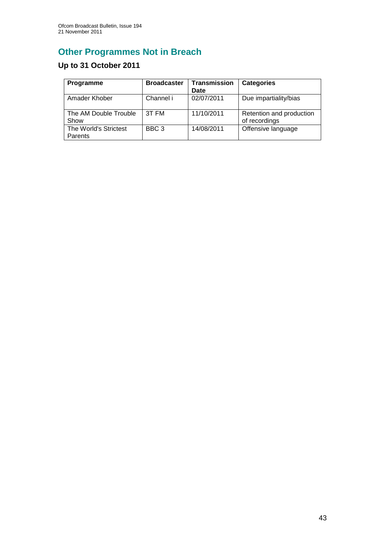# **Other Programmes Not in Breach**

# **Up to 31 October 2011**

| Programme                        | <b>Broadcaster</b> | <b>Transmission</b><br>Date | <b>Categories</b>                         |
|----------------------------------|--------------------|-----------------------------|-------------------------------------------|
| Amader Khober                    | Channel i          | 02/07/2011                  | Due impartiality/bias                     |
| The AM Double Trouble<br>Show    | 3T FM              | 11/10/2011                  | Retention and production<br>of recordings |
| The World's Strictest<br>Parents | BBC <sub>3</sub>   | 14/08/2011                  | Offensive language                        |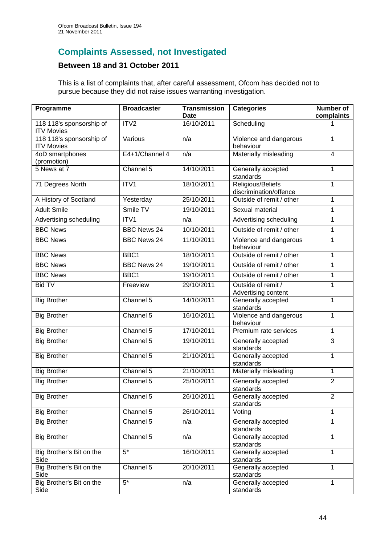# **Complaints Assessed, not Investigated**

## **Between 18 and 31 October 2011**

This is a list of complaints that, after careful assessment, Ofcom has decided not to pursue because they did not raise issues warranting investigation.

| Programme                                     | <b>Broadcaster</b> | <b>Transmission</b><br><b>Date</b> | <b>Categories</b>                           | <b>Number of</b><br>complaints |
|-----------------------------------------------|--------------------|------------------------------------|---------------------------------------------|--------------------------------|
| 118 118's sponsorship of<br><b>ITV Movies</b> | ITV2               | 16/10/2011                         | Scheduling                                  |                                |
| 118 118's sponsorship of<br><b>ITV Movies</b> | Various            | n/a                                | Violence and dangerous<br>behaviour         | 1                              |
| 4oD smartphones<br>(promotion)                | E4+1/Channel 4     | n/a                                | Materially misleading                       | $\overline{4}$                 |
| 5 News at 7                                   | Channel 5          | 14/10/2011                         | Generally accepted<br>standards             | $\mathbf 1$                    |
| 71 Degrees North                              | ITV1               | 18/10/2011                         | Religious/Beliefs<br>discrimination/offence | 1                              |
| A History of Scotland                         | Yesterday          | 25/10/2011                         | Outside of remit / other                    | 1                              |
| <b>Adult Smile</b>                            | Smile TV           | 19/10/2011                         | Sexual material                             | 1                              |
| Advertising scheduling                        | ITV1               | n/a                                | Advertising scheduling                      | 1                              |
| <b>BBC News</b>                               | <b>BBC News 24</b> | 10/10/2011                         | Outside of remit / other                    | 1                              |
| <b>BBC News</b>                               | <b>BBC News 24</b> | 11/10/2011                         | Violence and dangerous<br>behaviour         | 1                              |
| <b>BBC News</b>                               | BBC1               | 18/10/2011                         | Outside of remit / other                    | 1                              |
| <b>BBC News</b>                               | <b>BBC News 24</b> | 19/10/2011                         | Outside of remit / other                    | 1                              |
| <b>BBC News</b>                               | BBC1               | 19/10/2011                         | Outside of remit / other                    | 1                              |
| <b>Bid TV</b>                                 | Freeview           | 29/10/2011                         | Outside of remit /<br>Advertising content   | 1                              |
| <b>Big Brother</b>                            | Channel 5          | 14/10/2011                         | Generally accepted<br>standards             | 1                              |
| <b>Big Brother</b>                            | Channel 5          | 16/10/2011                         | Violence and dangerous<br>behaviour         | 1                              |
| <b>Big Brother</b>                            | Channel 5          | 17/10/2011                         | Premium rate services                       | 1                              |
| <b>Big Brother</b>                            | Channel 5          | 19/10/2011                         | Generally accepted<br>standards             | 3                              |
| <b>Big Brother</b>                            | Channel 5          | 21/10/2011                         | Generally accepted<br>standards             | 1                              |
| <b>Big Brother</b>                            | Channel 5          | 21/10/2011                         | Materially misleading                       | 1                              |
| <b>Big Brother</b>                            | Channel 5          | 25/10/2011                         | Generally accepted<br>standards             | $\overline{2}$                 |
| <b>Big Brother</b>                            | Channel 5          | 26/10/2011                         | Generally accepted<br>standards             | $\overline{2}$                 |
| <b>Big Brother</b>                            | Channel 5          | 26/10/2011                         | Voting                                      | 1                              |
| <b>Big Brother</b>                            | Channel 5          | n/a                                | Generally accepted<br>standards             | 1                              |
| <b>Big Brother</b>                            | Channel 5          | n/a                                | Generally accepted<br>standards             | 1                              |
| Big Brother's Bit on the<br>Side              | $5^*$              | 16/10/2011                         | Generally accepted<br>standards             | 1                              |
| Big Brother's Bit on the<br>Side              | Channel $5$        | 20/10/2011                         | Generally accepted<br>standards             | 1                              |
| Big Brother's Bit on the<br>Side              | $\overline{5^*}$   | n/a                                | Generally accepted<br>standards             | 1                              |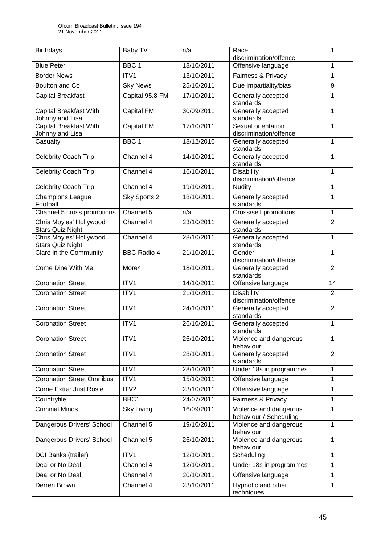| <b>Birthdays</b>                                   | Baby TV            | n/a        | Race<br>discrimination/offence                   | 1              |
|----------------------------------------------------|--------------------|------------|--------------------------------------------------|----------------|
| <b>Blue Peter</b>                                  | BBC <sub>1</sub>   | 18/10/2011 | Offensive language                               | 1              |
| <b>Border News</b>                                 | ITV1               | 13/10/2011 | Fairness & Privacy                               | 1              |
| <b>Boulton and Co</b>                              | <b>Sky News</b>    | 25/10/2011 | Due impartiality/bias                            | 9              |
| <b>Capital Breakfast</b>                           | Capital 95.8 FM    | 17/10/2011 | Generally accepted<br>standards                  | 1              |
| <b>Capital Breakfast With</b><br>Johnny and Lisa   | <b>Capital FM</b>  | 30/09/2011 | Generally accepted<br>standards                  | 1              |
| Capital Breakfast With<br>Johnny and Lisa          | <b>Capital FM</b>  | 17/10/2011 | Sexual orientation<br>discrimination/offence     | 1              |
| Casualty                                           | BBC <sub>1</sub>   | 18/12/2010 | Generally accepted<br>standards                  | 1              |
| <b>Celebrity Coach Trip</b>                        | Channel 4          | 14/10/2011 | Generally accepted<br>standards                  | 1              |
| <b>Celebrity Coach Trip</b>                        | Channel 4          | 16/10/2011 | Disability<br>discrimination/offence             | 1              |
| <b>Celebrity Coach Trip</b>                        | Channel 4          | 19/10/2011 | <b>Nudity</b>                                    | 1              |
| <b>Champions League</b><br>Football                | Sky Sports 2       | 18/10/2011 | Generally accepted<br>standards                  | 1              |
| Channel 5 cross promotions                         | Channel 5          | n/a        | Cross/self promotions                            | 1              |
| Chris Moyles' Hollywood<br><b>Stars Quiz Night</b> | Channel 4          | 23/10/2011 | Generally accepted<br>standards                  | $\overline{2}$ |
| Chris Moyles' Hollywood<br><b>Stars Quiz Night</b> | Channel 4          | 28/10/2011 | Generally accepted<br>standards                  | 1              |
| Clare in the Community                             | <b>BBC Radio 4</b> | 21/10/2011 | Gender<br>discrimination/offence                 | 1              |
| Come Dine With Me                                  | More4              | 18/10/2011 | Generally accepted<br>standards                  | $\overline{2}$ |
| <b>Coronation Street</b>                           | ITV1               | 14/10/2011 | Offensive language                               | 14             |
| <b>Coronation Street</b>                           | ITV1               | 21/10/2011 | <b>Disability</b><br>discrimination/offence      | $\overline{2}$ |
| <b>Coronation Street</b>                           | ITV1               | 24/10/2011 | Generally accepted<br>standards                  | $\overline{2}$ |
| <b>Coronation Street</b>                           | ITV1               | 26/10/2011 | Generally accepted<br>standards                  | 1              |
| <b>Coronation Street</b>                           | ITV1               | 26/10/2011 | Violence and dangerous<br>behaviour              | 1              |
| <b>Coronation Street</b>                           | ITV1               | 28/10/2011 | Generally accepted<br>standards                  | $\overline{2}$ |
| <b>Coronation Street</b>                           | ITV1               | 28/10/2011 | Under 18s in programmes                          | 1              |
| <b>Coronation Street Omnibus</b>                   | ITV1               | 15/10/2011 | Offensive language                               | 1              |
| Corrie Extra: Just Rosie                           | ITV2               | 23/10/2011 | Offensive language                               | 1              |
| Countryfile                                        | BBC1               | 24/07/2011 | Fairness & Privacy                               | 1              |
| <b>Criminal Minds</b>                              | <b>Sky Living</b>  | 16/09/2011 | Violence and dangerous<br>behaviour / Scheduling | 1              |
| Dangerous Drivers' School                          | Channel 5          | 19/10/2011 | Violence and dangerous<br>behaviour              | 1              |
| Dangerous Drivers' School                          | Channel 5          | 26/10/2011 | Violence and dangerous<br>behaviour              | 1              |
| DCI Banks (trailer)                                | ITV1               | 12/10/2011 | Scheduling                                       | 1              |
| Deal or No Deal                                    | Channel 4          | 12/10/2011 | Under 18s in programmes                          | 1              |
| Deal or No Deal                                    | Channel 4          | 20/10/2011 | Offensive language                               | 1              |
| Derren Brown                                       | Channel 4          | 23/10/2011 | Hypnotic and other<br>techniques                 | 1              |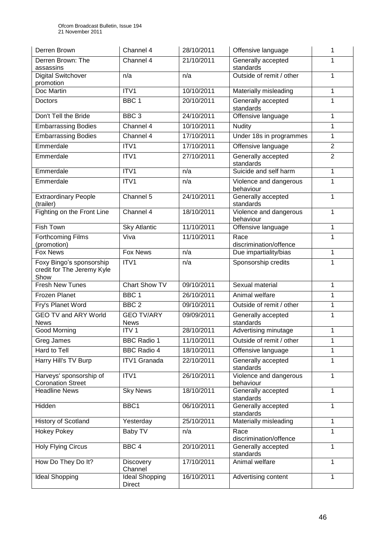| Derren Brown                                                   | Channel 4                        | 28/10/2011 | Offensive language                  | 1              |
|----------------------------------------------------------------|----------------------------------|------------|-------------------------------------|----------------|
| Derren Brown: The<br>assassins                                 | Channel 4                        | 21/10/2011 | Generally accepted<br>standards     | 1              |
| Digital Switchover                                             | n/a                              | n/a        | Outside of remit / other            | 1              |
| promotion<br>Doc Martin                                        | ITV1                             | 10/10/2011 | Materially misleading               | 1              |
| Doctors                                                        | BBC <sub>1</sub>                 | 20/10/2011 | Generally accepted<br>standards     | 1              |
| Don't Tell the Bride                                           | BBC <sub>3</sub>                 | 24/10/2011 | Offensive language                  | 1              |
| <b>Embarrassing Bodies</b>                                     | Channel 4                        | 10/10/2011 | Nudity                              | 1              |
| <b>Embarrassing Bodies</b>                                     | Channel 4                        | 17/10/2011 | Under 18s in programmes             | 1              |
| Emmerdale                                                      | ITV1                             | 17/10/2011 | Offensive language                  | $\overline{2}$ |
| Emmerdale                                                      | ITV1                             | 27/10/2011 | Generally accepted<br>standards     | $\overline{2}$ |
| Emmerdale                                                      | ITV1                             | n/a        | Suicide and self harm               | 1              |
| Emmerdale                                                      | ITV1                             | n/a        | Violence and dangerous<br>behaviour | 1              |
| <b>Extraordinary People</b><br>(trailer)                       | Channel 5                        | 24/10/2011 | Generally accepted<br>standards     | 1              |
| Fighting on the Front Line                                     | Channel 4                        | 18/10/2011 | Violence and dangerous<br>behaviour | 1              |
| Fish Town                                                      | <b>Sky Atlantic</b>              | 11/10/2011 | Offensive language                  | 1              |
| Forthcoming Films<br>(promotion)                               | Viva                             | 11/10/2011 | Race<br>discrimination/offence      | 1              |
| <b>Fox News</b>                                                | <b>Fox News</b>                  | n/a        | Due impartiality/bias               | 1              |
| Foxy Bingo's sponsorship<br>credit for The Jeremy Kyle<br>Show | ITV1                             | n/a        | Sponsorship credits                 | 1              |
| <b>Fresh New Tunes</b>                                         | <b>Chart Show TV</b>             | 09/10/2011 | Sexual material                     | 1              |
| <b>Frozen Planet</b>                                           | BBC <sub>1</sub>                 | 26/10/2011 | Animal welfare                      | 1              |
| Fry's Planet Word                                              | BBC <sub>2</sub>                 | 09/10/2011 | Outside of remit / other            | 1              |
| <b>GEO TV and ARY World</b><br><b>News</b>                     | <b>GEO TV/ARY</b><br><b>News</b> | 09/09/2011 | Generally accepted<br>standards     | 1              |
| Good Morning                                                   | ITV <sub>1</sub>                 | 28/10/2011 | Advertising minutage                | 1              |
| Greg James                                                     | <b>BBC Radio 1</b>               | 11/10/2011 | Outside of remit / other            | 1              |
| Hard to Tell                                                   | <b>BBC Radio 4</b>               | 18/10/2011 | Offensive language                  | 1              |
| Harry Hill's TV Burp                                           | <b>ITV1 Granada</b>              | 22/10/2011 | Generally accepted<br>standards     | 1              |
| Harveys' sponsorship of<br><b>Coronation Street</b>            | ITV1                             | 26/10/2011 | Violence and dangerous<br>behaviour | 1              |
| <b>Headline News</b>                                           | <b>Sky News</b>                  | 18/10/2011 | Generally accepted<br>standards     | 1              |
| Hidden                                                         | BBC1                             | 06/10/2011 | Generally accepted<br>standards     | 1              |
| History of Scotland                                            | Yesterday                        | 25/10/2011 | Materially misleading               | 1              |
| <b>Hokey Pokey</b>                                             | Baby TV                          | n/a        | Race<br>discrimination/offence      | 1              |
| <b>Holy Flying Circus</b>                                      | BBC <sub>4</sub>                 | 20/10/2011 | Generally accepted<br>standards     | 1              |
| How Do They Do It?                                             | <b>Discovery</b><br>Channel      | 17/10/2011 | Animal welfare                      | 1              |
| <b>Ideal Shopping</b>                                          | Ideal Shopping<br><b>Direct</b>  | 16/10/2011 | Advertising content                 | 1              |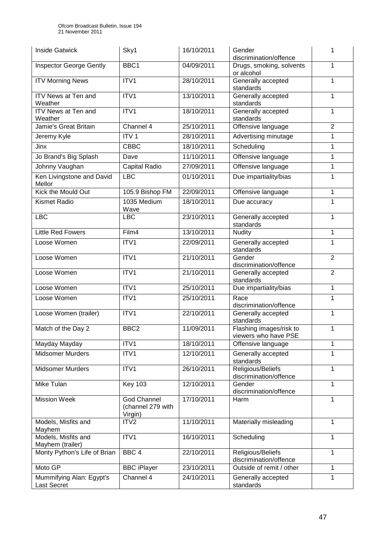| <b>Inside Gatwick</b>                   | Sky1                                        | 16/10/2011 | Gender<br>discrimination/offence                     | 1              |
|-----------------------------------------|---------------------------------------------|------------|------------------------------------------------------|----------------|
| Inspector George Gently                 | BBC1                                        | 04/09/2011 | Drugs, smoking, solvents<br>or alcohol               | 1              |
| <b>ITV Morning News</b>                 | ITV1                                        | 28/10/2011 | Generally accepted<br>standards                      | 1              |
| <b>ITV News at Ten and</b><br>Weather   | ITV1                                        | 13/10/2011 | Generally accepted<br>standards                      | 1              |
| ITV News at Ten and<br>Weather          | ITV1                                        | 18/10/2011 | Generally accepted<br>standards                      | 1              |
| Jamie's Great Britain                   | Channel 4                                   | 25/10/2011 | Offensive language                                   | $\overline{2}$ |
| Jeremy Kyle                             | ITV <sub>1</sub>                            | 28/10/2011 | Advertising minutage                                 | 1              |
| Jinx                                    | <b>CBBC</b>                                 | 18/10/2011 | Scheduling                                           | 1              |
| Jo Brand's Big Splash                   | Dave                                        | 11/10/2011 | Offensive language                                   | 1              |
| Johnny Vaughan                          | Capital Radio                               | 27/09/2011 | Offensive language                                   | 1              |
| Ken Livingstone and David<br>Mellor     | LBC                                         | 01/10/2011 | Due impartiality/bias                                | 1              |
| Kick the Mould Out                      | 105.9 Bishop FM                             | 22/09/2011 | Offensive language                                   | 1              |
| <b>Kismet Radio</b>                     | 1035 Medium<br>Wave                         | 18/10/2011 | Due accuracy                                         | 1              |
| <b>LBC</b>                              | <b>LBC</b>                                  | 23/10/2011 | Generally accepted<br>1<br>standards                 |                |
| <b>Little Red Fowers</b>                | Film4                                       | 13/10/2011 | <b>Nudity</b>                                        |                |
| Loose Women                             | ITV1                                        | 22/09/2011 | Generally accepted<br>standards                      | 1              |
| Loose Women                             | ITV1                                        | 21/10/2011 | $\overline{2}$<br>Gender<br>discrimination/offence   |                |
| Loose Women                             | ITV1                                        | 21/10/2011 | $\overline{2}$<br>Generally accepted<br>standards    |                |
| Loose Women                             | ITV1                                        | 25/10/2011 | Due impartiality/bias                                | 1              |
| Loose Women                             | ITV1                                        | 25/10/2011 | 1<br>Race<br>discrimination/offence                  |                |
| Loose Women (trailer)                   | ITV1                                        | 22/10/2011 | 1<br>Generally accepted<br>standards                 |                |
| Match of the Day 2                      | BBC <sub>2</sub>                            | 11/09/2011 | Flashing images/risk to<br>1<br>viewers who have PSE |                |
| Mayday Mayday                           | ITV1                                        | 18/10/2011 | Offensive language                                   | 1              |
| <b>Midsomer Murders</b>                 | ITV1                                        | 12/10/2011 | 1<br>Generally accepted<br>standards                 |                |
| <b>Midsomer Murders</b>                 | ITV1                                        | 26/10/2011 | Religious/Beliefs<br>1<br>discrimination/offence     |                |
| Mike Tulan                              | <b>Key 103</b>                              | 12/10/2011 | 1<br>Gender<br>discrimination/offence                |                |
| <b>Mission Week</b>                     | God Channel<br>(channel 279 with<br>Virgin) | 17/10/2011 | 1<br>Harm                                            |                |
| Models, Misfits and<br>Mayhem           | ITV <sub>2</sub>                            | 11/10/2011 | Materially misleading                                | 1              |
| Models, Misfits and<br>Mayhem (trailer) | ITV1                                        | 16/10/2011 | Scheduling                                           | 1              |
| Monty Python's Life of Brian            | BBC <sub>4</sub>                            | 22/10/2011 | Religious/Beliefs<br>1<br>discrimination/offence     |                |
| Moto GP                                 | <b>BBC iPlayer</b>                          | 23/10/2011 | Outside of remit / other                             | 1              |
| Mummifying Alan: Egypt's<br>Last Secret | Channel 4                                   | 24/10/2011 | Generally accepted<br>standards                      | 1              |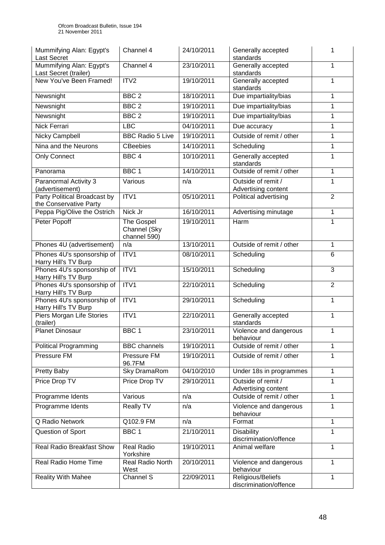| Mummifying Alan: Egypt's<br><b>Last Secret</b>         | Channel 4                                  | 24/10/2011 | Generally accepted<br>standards                | 1              |
|--------------------------------------------------------|--------------------------------------------|------------|------------------------------------------------|----------------|
| Mummifying Alan: Egypt's<br>Last Secret (trailer)      | Channel 4                                  | 23/10/2011 | Generally accepted<br>standards                | 1              |
| New You've Been Framed!                                | ITV2                                       | 19/10/2011 | Generally accepted<br>standards                | 1              |
| Newsnight                                              | BBC <sub>2</sub>                           | 18/10/2011 | Due impartiality/bias                          | 1              |
| Newsnight                                              | BBC <sub>2</sub>                           | 19/10/2011 | Due impartiality/bias                          | 1              |
| Newsnight                                              | BBC <sub>2</sub>                           | 19/10/2011 | Due impartiality/bias                          | 1              |
| <b>Nick Ferrari</b>                                    | <b>LBC</b>                                 | 04/10/2011 | Due accuracy                                   | 1              |
| <b>Nicky Campbell</b>                                  | <b>BBC Radio 5 Live</b>                    | 19/10/2011 | Outside of remit / other                       | 1              |
| Nina and the Neurons                                   | <b>CBeebies</b>                            | 14/10/2011 | Scheduling                                     | 1              |
| <b>Only Connect</b>                                    | BBC <sub>4</sub>                           | 10/10/2011 | Generally accepted<br>standards                | 1              |
| Panorama                                               | BBC <sub>1</sub>                           | 14/10/2011 | Outside of remit / other                       | 1              |
| Paranormal Activity 3<br>(advertisement)               | Various                                    | n/a        | Outside of remit /<br>Advertising content      | 1              |
| Party Political Broadcast by<br>the Conservative Party | ITV1                                       | 05/10/2011 | Political advertising                          | $\overline{2}$ |
| Peppa Pig/Olive the Ostrich                            | Nick Jr                                    | 16/10/2011 | Advertising minutage                           | 1              |
| Peter Popoff                                           | The Gospel<br>Channel (Sky<br>channel 590) | 19/10/2011 | Harm                                           |                |
| Phones 4U (advertisement)                              | n/a                                        | 13/10/2011 | Outside of remit / other                       | 1              |
| Phones 4U's sponsorship of<br>Harry Hill's TV Burp     | ITV1                                       | 08/10/2011 | Scheduling                                     | 6              |
| Phones 4U's sponsorship of<br>Harry Hill's TV Burp     | ITV1                                       | 15/10/2011 | Scheduling                                     | 3              |
| Phones 4U's sponsorship of<br>Harry Hill's TV Burp     | ITV1                                       | 22/10/2011 | Scheduling                                     | $\overline{2}$ |
| Phones 4U's sponsorship of<br>Harry Hill's TV Burp     | ITV1                                       | 29/10/2011 | Scheduling                                     | $\mathbf{1}$   |
| Piers Morgan Life Stories<br>(trailer)                 | ITV1                                       | 22/10/2011 | Generally accepted<br>standards                | 1              |
| <b>Planet Dinosaur</b>                                 | BBC <sub>1</sub>                           | 23/10/2011 | Violence and dangerous<br>behaviour            | 1              |
| <b>Political Programming</b>                           | <b>BBC</b> channels                        | 19/10/2011 | Outside of remit / other                       | 1              |
| Pressure FM                                            | Pressure FM<br>96.7FM                      | 19/10/2011 | Outside of remit / other                       | 1              |
| Pretty Baby                                            | Sky DramaRom                               | 04/10/2010 | 1<br>Under 18s in programmes                   |                |
| Price Drop TV                                          | Price Drop TV                              | 29/10/2011 | Outside of remit /<br>1<br>Advertising content |                |
| Programme Idents                                       | Various                                    | n/a        | Outside of remit / other<br>1                  |                |
| Programme Idents                                       | Really TV                                  | n/a        | 1<br>Violence and dangerous<br>behaviour       |                |
| <b>Q Radio Network</b>                                 | Q102.9 FM                                  | n/a        | Format                                         | 1              |
| Question of Sport                                      | BBC <sub>1</sub>                           | 21/10/2011 | <b>Disability</b><br>discrimination/offence    | 1              |
| <b>Real Radio Breakfast Show</b>                       | <b>Real Radio</b><br>Yorkshire             | 19/10/2011 | Animal welfare                                 | 1              |
| Real Radio Home Time                                   | Real Radio North<br>West                   | 20/10/2011 | Violence and dangerous<br>behaviour            |                |
| Reality With Mahee                                     | Channel S                                  | 22/09/2011 | Religious/Beliefs<br>discrimination/offence    | 1              |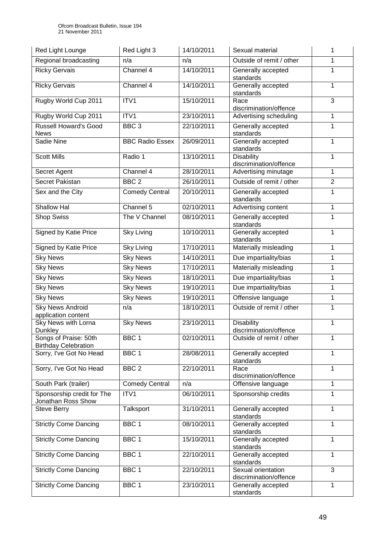| Red Light Lounge                                     | Red Light 3            | 14/10/2011 | Sexual material                                  | 1              |
|------------------------------------------------------|------------------------|------------|--------------------------------------------------|----------------|
| Regional broadcasting                                | n/a                    | n/a        | Outside of remit / other                         | 1              |
| <b>Ricky Gervais</b>                                 | Channel 4              | 14/10/2011 | Generally accepted<br>standards                  | 1              |
| <b>Ricky Gervais</b>                                 | Channel 4              | 14/10/2011 | Generally accepted<br>standards                  | 1              |
| Rugby World Cup 2011                                 | ITV1                   | 15/10/2011 | Race<br>discrimination/offence                   | 3              |
| Rugby World Cup 2011                                 | ITV1                   | 23/10/2011 | Advertising scheduling                           | 1              |
| <b>Russell Howard's Good</b><br><b>News</b>          | BBC <sub>3</sub>       | 22/10/2011 | Generally accepted<br>standards                  | 1              |
| Sadie Nine                                           | <b>BBC Radio Essex</b> | 26/09/2011 | Generally accepted<br>standards                  | 1              |
| <b>Scott Mills</b>                                   | Radio 1                | 13/10/2011 | Disability<br>discrimination/offence             | 1              |
| Secret Agent                                         | Channel 4              | 28/10/2011 | Advertising minutage                             | 1              |
| Secret Pakistan                                      | BBC <sub>2</sub>       | 26/10/2011 | Outside of remit / other                         | $\overline{2}$ |
| Sex and the City                                     | <b>Comedy Central</b>  | 20/10/2011 | Generally accepted                               | 1              |
|                                                      |                        |            | standards                                        |                |
| <b>Shallow Hal</b>                                   | Channel 5              | 02/10/2011 | Advertising content                              | $\mathbf{1}$   |
| <b>Shop Swiss</b>                                    | The V Channel          | 08/10/2011 | Generally accepted<br>standards                  | 1              |
| Signed by Katie Price                                | <b>Sky Living</b>      | 10/10/2011 | Generally accepted<br>1<br>standards             |                |
| Signed by Katie Price                                | <b>Sky Living</b>      | 17/10/2011 | Materially misleading                            | 1              |
| <b>Sky News</b>                                      | <b>Sky News</b>        | 14/10/2011 | Due impartiality/bias                            | 1              |
| <b>Sky News</b>                                      | <b>Sky News</b>        | 17/10/2011 | Materially misleading                            |                |
| <b>Sky News</b>                                      | <b>Sky News</b>        | 18/10/2011 | Due impartiality/bias                            | 1              |
| <b>Sky News</b>                                      | <b>Sky News</b>        | 19/10/2011 | Due impartiality/bias<br>1                       |                |
| <b>Sky News</b>                                      | <b>Sky News</b>        | 19/10/2011 | Offensive language                               |                |
| <b>Sky News Android</b><br>application content       | n/a                    | 18/10/2011 | Outside of remit / other<br>1                    |                |
| <b>Sky News with Lorna</b><br>Dunkley                | <b>Sky News</b>        | 23/10/2011 | <b>Disability</b><br>1<br>discrimination/offence |                |
| Songs of Praise: 50th<br><b>Birthday Celebration</b> | BBC <sub>1</sub>       | 02/10/2011 | Outside of remit / other                         |                |
| Sorry, I've Got No Head                              | BBC <sub>1</sub>       | 28/08/2011 | Generally accepted<br>1<br>standards             |                |
| Sorry, I've Got No Head                              | BBC <sub>2</sub>       | 22/10/2011 | $\mathbf{1}$<br>Race<br>discrimination/offence   |                |
| South Park (trailer)                                 | <b>Comedy Central</b>  | n/a        | 1<br>Offensive language                          |                |
| Sponsorship credit for The<br>Jonathan Ross Show     | ITV1                   | 06/10/2011 | Sponsorship credits<br>1                         |                |
| <b>Steve Berry</b>                                   | Talksport              | 31/10/2011 | Generally accepted<br>standards                  | 1              |
| <b>Strictly Come Dancing</b>                         | BBC <sub>1</sub>       | 08/10/2011 | Generally accepted<br>1<br>standards             |                |
| <b>Strictly Come Dancing</b>                         | BBC 1                  | 15/10/2011 | Generally accepted<br>standards                  | 1              |
| <b>Strictly Come Dancing</b>                         | BBC <sub>1</sub>       | 22/10/2011 | Generally accepted<br>standards                  | 1              |
| <b>Strictly Come Dancing</b>                         | BBC <sub>1</sub>       | 22/10/2011 | Sexual orientation<br>discrimination/offence     | 3              |
| <b>Strictly Come Dancing</b>                         | BBC 1                  | 23/10/2011 | Generally accepted<br>standards                  | 1              |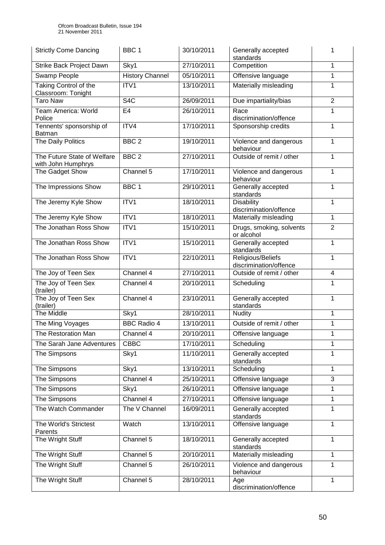| <b>Strictly Come Dancing</b>                      | BBC <sub>1</sub>       | 30/10/2011 | Generally accepted<br>standards                          | 1              |
|---------------------------------------------------|------------------------|------------|----------------------------------------------------------|----------------|
| Strike Back Project Dawn                          | Sky1                   | 27/10/2011 | Competition                                              | 1              |
| Swamp People                                      | <b>History Channel</b> | 05/10/2011 | Offensive language                                       | 1              |
| Taking Control of the<br>Classroom: Tonight       | ITV1                   | 13/10/2011 | Materially misleading                                    | 1              |
| <b>Taro Naw</b>                                   | S <sub>4</sub> C       | 26/09/2011 | Due impartiality/bias                                    | $\overline{2}$ |
| Team America: World<br>Police                     | E <sub>4</sub>         | 26/10/2011 | Race<br>discrimination/offence                           | 1              |
| Tennents' sponsorship of<br>Batman                | ITV4                   | 17/10/2011 | Sponsorship credits                                      | 1              |
| The Daily Politics                                | BBC <sub>2</sub>       | 19/10/2011 | Violence and dangerous<br>behaviour                      | 1              |
| The Future State of Welfare<br>with John Humphrys | BBC <sub>2</sub>       | 27/10/2011 | Outside of remit / other                                 | 1              |
| The Gadget Show                                   | Channel 5              | 17/10/2011 | Violence and dangerous<br>behaviour                      | 1              |
| The Impressions Show                              | BBC <sub>1</sub>       | 29/10/2011 | Generally accepted<br>standards                          | 1              |
| The Jeremy Kyle Show                              | ITV1                   | 18/10/2011 | <b>Disability</b><br>discrimination/offence              | 1              |
| The Jeremy Kyle Show                              | ITV1                   | 18/10/2011 | Materially misleading                                    | 1              |
| The Jonathan Ross Show                            | ITV1                   | 15/10/2011 | Drugs, smoking, solvents<br>$\overline{2}$<br>or alcohol |                |
| The Jonathan Ross Show                            | ITV1                   | 15/10/2011 | Generally accepted<br>1<br>standards                     |                |
| The Jonathan Ross Show                            | ITV1                   | 22/10/2011 | 1<br>Religious/Beliefs<br>discrimination/offence         |                |
| The Joy of Teen Sex                               | Channel 4              | 27/10/2011 | Outside of remit / other<br>4                            |                |
| The Joy of Teen Sex<br>(trailer)                  | Channel 4              | 20/10/2011 | Scheduling                                               |                |
| The Joy of Teen Sex<br>(trailer)                  | Channel 4              | 23/10/2011 | Generally accepted<br>1<br>standards                     |                |
| The Middle                                        | Sky1                   | 28/10/2011 | <b>Nudity</b>                                            |                |
| The Ming Voyages                                  | <b>BBC Radio 4</b>     | 13/10/2011 | Outside of remit / other<br>1                            |                |
| The Restoration Man                               | Channel 4              | 20/10/2011 | Offensive language                                       |                |
| The Sarah Jane Adventures                         | CBBC                   | 17/10/2011 | Scheduling                                               |                |
| The Simpsons                                      | Sky1                   | 11/10/2011 | Generally accepted<br>1<br>standards                     |                |
| The Simpsons                                      | Sky1                   | 13/10/2011 | Scheduling<br>1                                          |                |
| The Simpsons                                      | Channel 4              | 25/10/2011 | 3<br>Offensive language                                  |                |
| The Simpsons                                      | Sky1                   | 26/10/2011 | Offensive language<br>1                                  |                |
| The Simpsons                                      | Channel 4              | 27/10/2011 | Offensive language<br>1                                  |                |
| The Watch Commander                               | The V Channel          | 16/09/2011 | Generally accepted<br>1<br>standards                     |                |
| The World's Strictest<br>Parents                  | Watch                  | 13/10/2011 | Offensive language                                       | 1              |
| The Wright Stuff                                  | Channel 5              | 18/10/2011 | Generally accepted<br>standards                          | 1              |
| The Wright Stuff                                  | Channel 5              | 20/10/2011 | Materially misleading                                    | 1              |
| The Wright Stuff                                  | Channel 5              | 26/10/2011 | Violence and dangerous<br>1<br>behaviour                 |                |
| The Wright Stuff                                  | Channel 5              | 28/10/2011 | Age<br>discrimination/offence                            | 1              |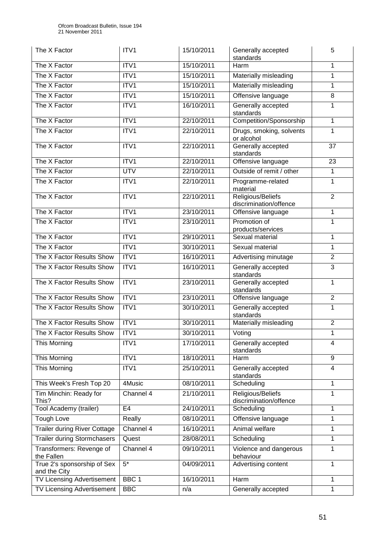| The X Factor                                | ITV1             | 15/10/2011 | 5<br>Generally accepted<br>standards             |                |
|---------------------------------------------|------------------|------------|--------------------------------------------------|----------------|
| The X Factor                                | ITV1             | 15/10/2011 | Harm                                             | 1              |
| The X Factor                                | ITV1             | 15/10/2011 | Materially misleading                            | 1              |
| The X Factor                                | ITV1             | 15/10/2011 | Materially misleading                            |                |
| The X Factor                                | ITV1             | 15/10/2011 | Offensive language<br>8                          |                |
| The X Factor                                | ITV1             | 16/10/2011 | Generally accepted<br>standards                  | 1              |
| The X Factor                                | ITV1             | 22/10/2011 | Competition/Sponsorship                          | 1              |
| The X Factor                                | ITV1             | 22/10/2011 | Drugs, smoking, solvents<br>or alcohol           | 1              |
| The X Factor                                | ITV1             | 22/10/2011 | Generally accepted<br>standards                  | 37             |
| The X Factor                                | ITV1             | 22/10/2011 | Offensive language                               | 23             |
| The X Factor                                | <b>UTV</b>       | 22/10/2011 | Outside of remit / other                         | 1              |
| The X Factor                                | ITV1             | 22/10/2011 | Programme-related<br>material                    | 1              |
| The X Factor                                | ITV1             | 22/10/2011 | Religious/Beliefs<br>discrimination/offence      | $\overline{2}$ |
| The X Factor                                | ITV1             | 23/10/2011 | Offensive language                               | 1              |
| The X Factor                                | ITV1             | 23/10/2011 | Promotion of<br>products/services                | 1              |
| The X Factor                                | ITV1             | 29/10/2011 | Sexual material                                  | 1              |
| The X Factor                                | ITV1             | 30/10/2011 | Sexual material                                  | 1              |
| The X Factor Results Show                   | ITV1             | 16/10/2011 | Advertising minutage                             | $\overline{2}$ |
| The X Factor Results Show                   | ITV1             | 16/10/2011 | 3<br>Generally accepted<br>standards             |                |
| The X Factor Results Show                   | ITV1             | 23/10/2011 | 1<br>Generally accepted<br>standards             |                |
| The X Factor Results Show                   | ITV1             | 23/10/2011 | $\boldsymbol{2}$<br>Offensive language           |                |
| The X Factor Results Show                   | ITV1             | 30/10/2011 | Generally accepted<br>1<br>standards             |                |
| The X Factor Results Show                   | ITV1             | 30/10/2011 | Materially misleading<br>$\overline{2}$          |                |
| The X Factor Results Show                   | ITV1             | 30/10/2011 | $\overline{\text{Voting}}$                       |                |
| This Morning                                | ITV1             | 17/10/2011 | Generally accepted<br>4<br>standards             |                |
| This Morning                                | ITV1             | 18/10/2011 | $\overline{9}$<br>Harm                           |                |
| This Morning                                | ITV1             | 25/10/2011 | Generally accepted<br>4<br>standards             |                |
| This Week's Fresh Top 20                    | 4Music           | 08/10/2011 | 1<br>Scheduling                                  |                |
| Tim Minchin: Ready for<br>This?             | Channel 4        | 21/10/2011 | Religious/Beliefs<br>1<br>discrimination/offence |                |
| Tool Academy (trailer)                      | E <sub>4</sub>   | 24/10/2011 | Scheduling<br>1                                  |                |
| <b>Tough Love</b>                           | Really           | 08/10/2011 | Offensive language<br>1                          |                |
| <b>Trailer during River Cottage</b>         | Channel 4        | 16/10/2011 | Animal welfare<br>1                              |                |
| <b>Trailer during Stormchasers</b>          | Quest            | 28/08/2011 | 1<br>Scheduling                                  |                |
| Transformers: Revenge of<br>the Fallen      | Channel 4        | 09/10/2011 | Violence and dangerous<br>1<br>behaviour         |                |
| True 2's sponsorship of Sex<br>and the City | $5*$             | 04/09/2011 | Advertising content<br>1                         |                |
| <b>TV Licensing Advertisement</b>           | BBC <sub>1</sub> | 16/10/2011 | Harm<br>1                                        |                |
| TV Licensing Advertisement                  | <b>BBC</b>       | n/a        | Generally accepted<br>$\mathbf{1}$               |                |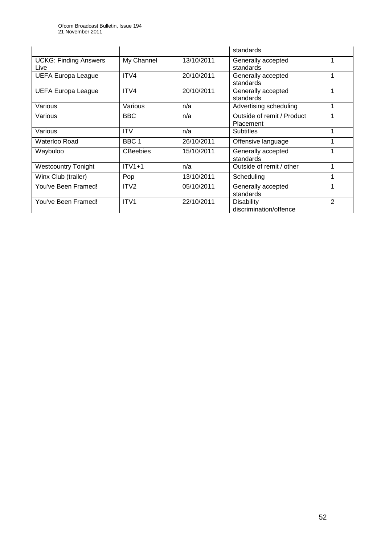|                                      |                  |            | standards                                   |   |
|--------------------------------------|------------------|------------|---------------------------------------------|---|
| <b>UCKG: Finding Answers</b><br>Live | My Channel       | 13/10/2011 | Generally accepted<br>standards             |   |
| <b>UEFA Europa League</b>            | ITV4             | 20/10/2011 | Generally accepted<br>standards             |   |
| <b>UEFA Europa League</b>            | ITV4             | 20/10/2011 | Generally accepted<br>standards             |   |
| Various                              | Various          | n/a        | Advertising scheduling                      |   |
| Various                              | <b>BBC</b>       | n/a        | Outside of remit / Product<br>Placement     |   |
| Various                              | <b>ITV</b>       | n/a        | <b>Subtitles</b>                            |   |
| Waterloo Road                        | BBC 1            | 26/10/2011 | Offensive language                          |   |
| Waybuloo                             | <b>CBeebies</b>  | 15/10/2011 | Generally accepted<br>standards             |   |
| <b>Westcountry Tonight</b>           | $ITV1+1$         | n/a        | Outside of remit / other                    |   |
| Winx Club (trailer)                  | Pop              | 13/10/2011 | Scheduling                                  |   |
| You've Been Framed!                  | ITV <sub>2</sub> | 05/10/2011 | Generally accepted<br>standards             |   |
| You've Been Framed!                  | ITV <sub>1</sub> | 22/10/2011 | <b>Disability</b><br>discrimination/offence | 2 |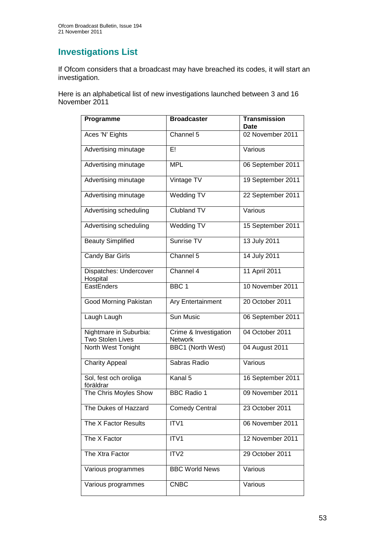## **Investigations List**

If Ofcom considers that a broadcast may have breached its codes, it will start an investigation.

Here is an alphabetical list of new investigations launched between 3 and 16 November 2011

| Programme                                  | <b>Broadcaster</b>                      | <b>Transmission</b><br>Date |
|--------------------------------------------|-----------------------------------------|-----------------------------|
| Aces 'N' Eights                            | Channel 5                               | 02 November 2011            |
| Advertising minutage                       | ΕL                                      | Various                     |
| Advertising minutage                       | <b>MPL</b>                              | 06 September 2011           |
| Advertising minutage                       | Vintage TV                              | 19 September 2011           |
| Advertising minutage                       | <b>Wedding TV</b>                       | 22 September 2011           |
| Advertising scheduling                     | <b>Clubland TV</b>                      | Various                     |
| Advertising scheduling                     | Wedding TV                              | 15 September 2011           |
| <b>Beauty Simplified</b>                   | Sunrise TV                              | 13 July 2011                |
| Candy Bar Girls                            | Channel 5                               | 14 July 2011                |
| Dispatches: Undercover<br>Hospital         | Channel 4                               | 11 April 2011               |
| EastEnders                                 | BBC <sub>1</sub>                        | 10 November 2011            |
| Good Morning Pakistan                      | <b>Ary Entertainment</b>                | 20 October 2011             |
| Laugh Laugh                                | Sun Music                               | 06 September 2011           |
| Nightmare in Suburbia:<br>Two Stolen Lives | Crime & Investigation<br><b>Network</b> | 04 October 2011             |
| North West Tonight                         | <b>BBC1 (North West)</b>                | 04 August 2011              |
| <b>Charity Appeal</b>                      | Sabras Radio                            | Various                     |
| Sol, fest och oroliga<br>föräldrar         | Kanal 5                                 | 16 September 2011           |
| The Chris Moyles Show                      | <b>BBC Radio 1</b>                      | 09 November 2011            |
| The Dukes of Hazzard                       | <b>Comedy Central</b>                   | 23 October 2011             |
| The X Factor Results                       | ITV1                                    | 06 November 2011            |
| The X Factor                               | ITV1                                    | 12 November 2011            |
| The Xtra Factor                            | ITV2                                    | 29 October 2011             |
| Various programmes                         | <b>BBC World News</b>                   | Various                     |
| Various programmes                         | <b>CNBC</b>                             | Various                     |